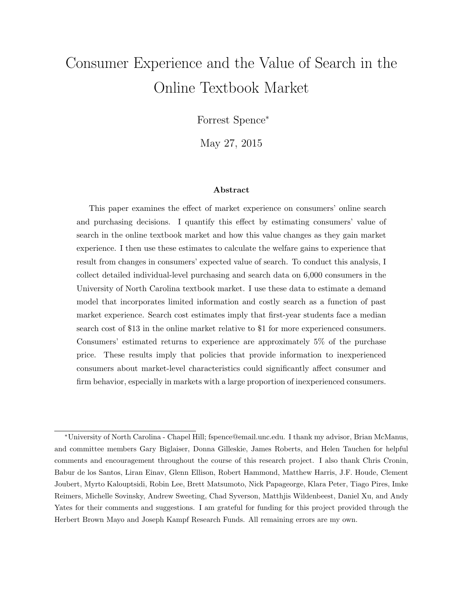# Consumer Experience and the Value of Search in the Online Textbook Market

Forrest Spence<sup>∗</sup>

May 27, 2015

#### Abstract

This paper examines the effect of market experience on consumers' online search and purchasing decisions. I quantify this effect by estimating consumers' value of search in the online textbook market and how this value changes as they gain market experience. I then use these estimates to calculate the welfare gains to experience that result from changes in consumers' expected value of search. To conduct this analysis, I collect detailed individual-level purchasing and search data on 6,000 consumers in the University of North Carolina textbook market. I use these data to estimate a demand model that incorporates limited information and costly search as a function of past market experience. Search cost estimates imply that first-year students face a median search cost of \$13 in the online market relative to \$1 for more experienced consumers. Consumers' estimated returns to experience are approximately 5% of the purchase price. These results imply that policies that provide information to inexperienced consumers about market-level characteristics could significantly affect consumer and firm behavior, especially in markets with a large proportion of inexperienced consumers.

<sup>∗</sup>University of North Carolina - Chapel Hill; fspence@email.unc.edu. I thank my advisor, Brian McManus, and committee members Gary Biglaiser, Donna Gilleskie, James Roberts, and Helen Tauchen for helpful comments and encouragement throughout the course of this research project. I also thank Chris Cronin, Babur de los Santos, Liran Einav, Glenn Ellison, Robert Hammond, Matthew Harris, J.F. Houde, Clement Joubert, Myrto Kalouptsidi, Robin Lee, Brett Matsumoto, Nick Papageorge, Klara Peter, Tiago Pires, Imke Reimers, Michelle Sovinsky, Andrew Sweeting, Chad Syverson, Matthjis Wildenbeest, Daniel Xu, and Andy Yates for their comments and suggestions. I am grateful for funding for this project provided through the Herbert Brown Mayo and Joseph Kampf Research Funds. All remaining errors are my own.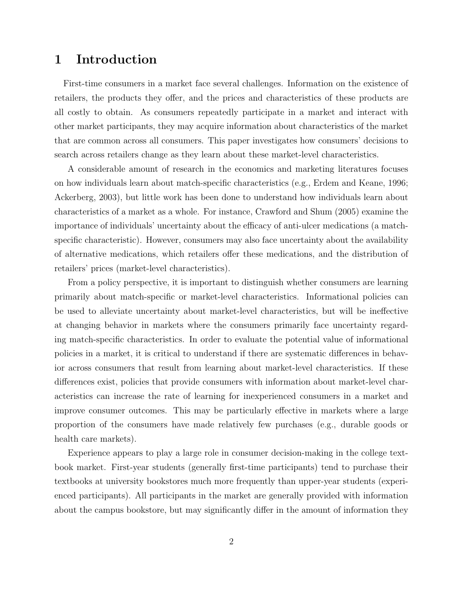# 1 Introduction

First-time consumers in a market face several challenges. Information on the existence of retailers, the products they offer, and the prices and characteristics of these products are all costly to obtain. As consumers repeatedly participate in a market and interact with other market participants, they may acquire information about characteristics of the market that are common across all consumers. This paper investigates how consumers' decisions to search across retailers change as they learn about these market-level characteristics.

A considerable amount of research in the economics and marketing literatures focuses on how individuals learn about match-specific characteristics (e.g., Erdem and Keane, 1996; Ackerberg, 2003), but little work has been done to understand how individuals learn about characteristics of a market as a whole. For instance, [Crawford and Shum](#page-33-0) [\(2005\)](#page-33-0) examine the importance of individuals' uncertainty about the efficacy of anti-ulcer medications (a matchspecific characteristic). However, consumers may also face uncertainty about the availability of alternative medications, which retailers offer these medications, and the distribution of retailers' prices (market-level characteristics).

From a policy perspective, it is important to distinguish whether consumers are learning primarily about match-specific or market-level characteristics. Informational policies can be used to alleviate uncertainty about market-level characteristics, but will be ineffective at changing behavior in markets where the consumers primarily face uncertainty regarding match-specific characteristics. In order to evaluate the potential value of informational policies in a market, it is critical to understand if there are systematic differences in behavior across consumers that result from learning about market-level characteristics. If these differences exist, policies that provide consumers with information about market-level characteristics can increase the rate of learning for inexperienced consumers in a market and improve consumer outcomes. This may be particularly effective in markets where a large proportion of the consumers have made relatively few purchases (e.g., durable goods or health care markets).

Experience appears to play a large role in consumer decision-making in the college textbook market. First-year students (generally first-time participants) tend to purchase their textbooks at university bookstores much more frequently than upper-year students (experienced participants). All participants in the market are generally provided with information about the campus bookstore, but may significantly differ in the amount of information they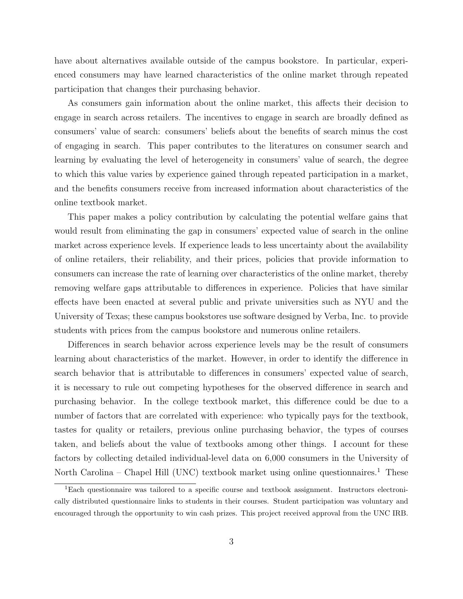have about alternatives available outside of the campus bookstore. In particular, experienced consumers may have learned characteristics of the online market through repeated participation that changes their purchasing behavior.

As consumers gain information about the online market, this affects their decision to engage in search across retailers. The incentives to engage in search are broadly defined as consumers' value of search: consumers' beliefs about the benefits of search minus the cost of engaging in search. This paper contributes to the literatures on consumer search and learning by evaluating the level of heterogeneity in consumers' value of search, the degree to which this value varies by experience gained through repeated participation in a market, and the benefits consumers receive from increased information about characteristics of the online textbook market.

This paper makes a policy contribution by calculating the potential welfare gains that would result from eliminating the gap in consumers' expected value of search in the online market across experience levels. If experience leads to less uncertainty about the availability of online retailers, their reliability, and their prices, policies that provide information to consumers can increase the rate of learning over characteristics of the online market, thereby removing welfare gaps attributable to differences in experience. Policies that have similar effects have been enacted at several public and private universities such as NYU and the University of Texas; these campus bookstores use software designed by Verba, Inc. to provide students with prices from the campus bookstore and numerous online retailers.

Differences in search behavior across experience levels may be the result of consumers learning about characteristics of the market. However, in order to identify the difference in search behavior that is attributable to differences in consumers' expected value of search, it is necessary to rule out competing hypotheses for the observed difference in search and purchasing behavior. In the college textbook market, this difference could be due to a number of factors that are correlated with experience: who typically pays for the textbook, tastes for quality or retailers, previous online purchasing behavior, the types of courses taken, and beliefs about the value of textbooks among other things. I account for these factors by collecting detailed individual-level data on 6,000 consumers in the University of North Carolina – Chapel Hill (UNC) textbook market using online questionnaires.<sup>[1](#page-2-0)</sup> These

<span id="page-2-0"></span><sup>1</sup>Each questionnaire was tailored to a specific course and textbook assignment. Instructors electronically distributed questionnaire links to students in their courses. Student participation was voluntary and encouraged through the opportunity to win cash prizes. This project received approval from the UNC IRB.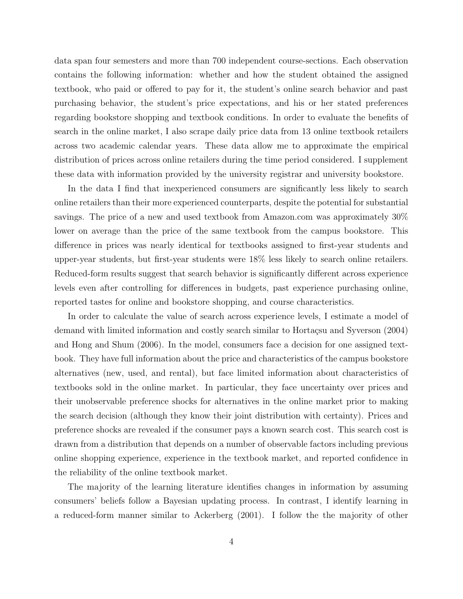data span four semesters and more than 700 independent course-sections. Each observation contains the following information: whether and how the student obtained the assigned textbook, who paid or offered to pay for it, the student's online search behavior and past purchasing behavior, the student's price expectations, and his or her stated preferences regarding bookstore shopping and textbook conditions. In order to evaluate the benefits of search in the online market, I also scrape daily price data from 13 online textbook retailers across two academic calendar years. These data allow me to approximate the empirical distribution of prices across online retailers during the time period considered. I supplement these data with information provided by the university registrar and university bookstore.

In the data I find that inexperienced consumers are significantly less likely to search online retailers than their more experienced counterparts, despite the potential for substantial savings. The price of a new and used textbook from Amazon.com was approximately 30% lower on average than the price of the same textbook from the campus bookstore. This difference in prices was nearly identical for textbooks assigned to first-year students and upper-year students, but first-year students were 18% less likely to search online retailers. Reduced-form results suggest that search behavior is significantly different across experience levels even after controlling for differences in budgets, past experience purchasing online, reported tastes for online and bookstore shopping, and course characteristics.

In order to calculate the value of search across experience levels, I estimate a model of demand with limited information and costly search similar to Hortaçsu and Syverson [\(2004\)](#page-34-0) and [Hong and Shum](#page-33-1) [\(2006\)](#page-33-1). In the model, consumers face a decision for one assigned textbook. They have full information about the price and characteristics of the campus bookstore alternatives (new, used, and rental), but face limited information about characteristics of textbooks sold in the online market. In particular, they face uncertainty over prices and their unobservable preference shocks for alternatives in the online market prior to making the search decision (although they know their joint distribution with certainty). Prices and preference shocks are revealed if the consumer pays a known search cost. This search cost is drawn from a distribution that depends on a number of observable factors including previous online shopping experience, experience in the textbook market, and reported confidence in the reliability of the online textbook market.

The majority of the learning literature identifies changes in information by assuming consumers' beliefs follow a Bayesian updating process. In contrast, I identify learning in a reduced-form manner similar to [Ackerberg](#page-33-2) [\(2001\)](#page-33-2). I follow the the majority of other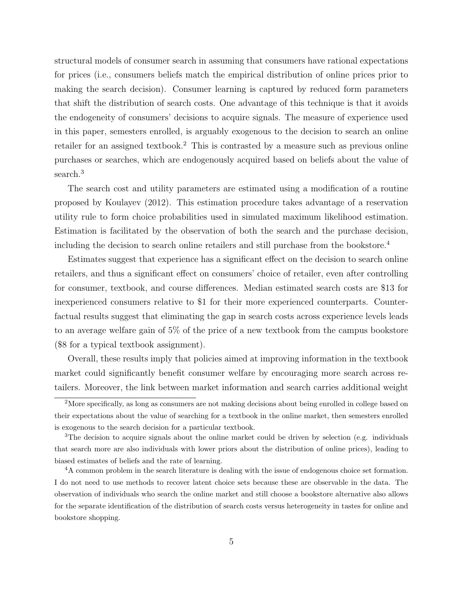structural models of consumer search in assuming that consumers have rational expectations for prices (i.e., consumers beliefs match the empirical distribution of online prices prior to making the search decision). Consumer learning is captured by reduced form parameters that shift the distribution of search costs. One advantage of this technique is that it avoids the endogeneity of consumers' decisions to acquire signals. The measure of experience used in this paper, semesters enrolled, is arguably exogenous to the decision to search an online retailer for an assigned textbook.<sup>[2](#page-4-0)</sup> This is contrasted by a measure such as previous online purchases or searches, which are endogenously acquired based on beliefs about the value of search.<sup>[3](#page-4-1)</sup>

The search cost and utility parameters are estimated using a modification of a routine proposed by [Koulayev](#page-34-1) [\(2012\)](#page-34-1). This estimation procedure takes advantage of a reservation utility rule to form choice probabilities used in simulated maximum likelihood estimation. Estimation is facilitated by the observation of both the search and the purchase decision, including the decision to search online retailers and still purchase from the bookstore.[4](#page-4-2)

Estimates suggest that experience has a significant effect on the decision to search online retailers, and thus a significant effect on consumers' choice of retailer, even after controlling for consumer, textbook, and course differences. Median estimated search costs are \$13 for inexperienced consumers relative to \$1 for their more experienced counterparts. Counterfactual results suggest that eliminating the gap in search costs across experience levels leads to an average welfare gain of 5% of the price of a new textbook from the campus bookstore (\$8 for a typical textbook assignment).

Overall, these results imply that policies aimed at improving information in the textbook market could significantly benefit consumer welfare by encouraging more search across retailers. Moreover, the link between market information and search carries additional weight

<span id="page-4-0"></span><sup>2</sup>More specifically, as long as consumers are not making decisions about being enrolled in college based on their expectations about the value of searching for a textbook in the online market, then semesters enrolled is exogenous to the search decision for a particular textbook.

<span id="page-4-1"></span><sup>&</sup>lt;sup>3</sup>The decision to acquire signals about the online market could be driven by selection (e.g. individuals that search more are also individuals with lower priors about the distribution of online prices), leading to biased estimates of beliefs and the rate of learning.

<span id="page-4-2"></span><sup>&</sup>lt;sup>4</sup>A common problem in the search literature is dealing with the issue of endogenous choice set formation. I do not need to use methods to recover latent choice sets because these are observable in the data. The observation of individuals who search the online market and still choose a bookstore alternative also allows for the separate identification of the distribution of search costs versus heterogeneity in tastes for online and bookstore shopping.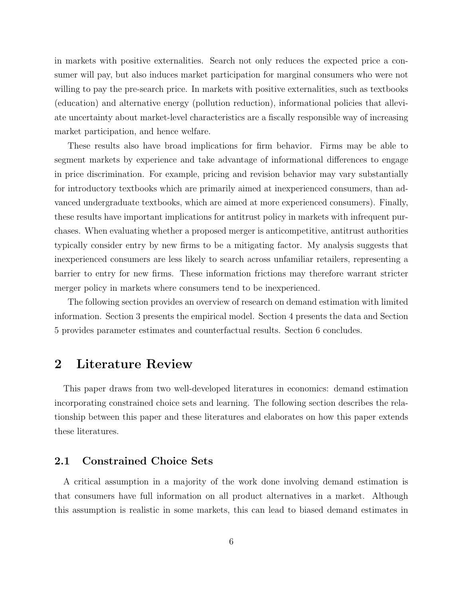in markets with positive externalities. Search not only reduces the expected price a consumer will pay, but also induces market participation for marginal consumers who were not willing to pay the pre-search price. In markets with positive externalities, such as textbooks (education) and alternative energy (pollution reduction), informational policies that alleviate uncertainty about market-level characteristics are a fiscally responsible way of increasing market participation, and hence welfare.

These results also have broad implications for firm behavior. Firms may be able to segment markets by experience and take advantage of informational differences to engage in price discrimination. For example, pricing and revision behavior may vary substantially for introductory textbooks which are primarily aimed at inexperienced consumers, than advanced undergraduate textbooks, which are aimed at more experienced consumers). Finally, these results have important implications for antitrust policy in markets with infrequent purchases. When evaluating whether a proposed merger is anticompetitive, antitrust authorities typically consider entry by new firms to be a mitigating factor. My analysis suggests that inexperienced consumers are less likely to search across unfamiliar retailers, representing a barrier to entry for new firms. These information frictions may therefore warrant stricter merger policy in markets where consumers tend to be inexperienced.

The following section provides an overview of research on demand estimation with limited information. Section 3 presents the empirical model. Section 4 presents the data and Section 5 provides parameter estimates and counterfactual results. Section 6 concludes.

# 2 Literature Review

This paper draws from two well-developed literatures in economics: demand estimation incorporating constrained choice sets and learning. The following section describes the relationship between this paper and these literatures and elaborates on how this paper extends these literatures.

# 2.1 Constrained Choice Sets

A critical assumption in a majority of the work done involving demand estimation is that consumers have full information on all product alternatives in a market. Although this assumption is realistic in some markets, this can lead to biased demand estimates in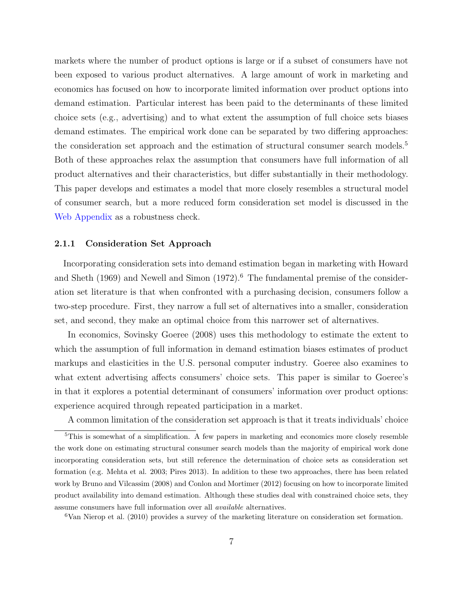markets where the number of product options is large or if a subset of consumers have not been exposed to various product alternatives. A large amount of work in marketing and economics has focused on how to incorporate limited information over product options into demand estimation. Particular interest has been paid to the determinants of these limited choice sets (e.g., advertising) and to what extent the assumption of full choice sets biases demand estimates. The empirical work done can be separated by two differing approaches: the consideration set approach and the estimation of structural consumer search models.<sup>[5](#page-6-0)</sup> Both of these approaches relax the assumption that consumers have full information of all product alternatives and their characteristics, but differ substantially in their methodology. This paper develops and estimates a model that more closely resembles a structural model of consumer search, but a more reduced form consideration set model is discussed in the [Web Appendix](http://forrestspence.web.unc.edu/files/2013/01/TextbooksV9_WebAppendix.pdf) as a robustness check.

#### 2.1.1 Consideration Set Approach

Incorporating consideration sets into demand estimation began in marketing with [Howard](#page-34-2) [and Sheth](#page-34-2) [\(1969\)](#page-34-2) and [Newell and Simon](#page-34-3)  $(1972)$ .<sup>[6](#page-6-1)</sup> The fundamental premise of the consideration set literature is that when confronted with a purchasing decision, consumers follow a two-step procedure. First, they narrow a full set of alternatives into a smaller, consideration set, and second, they make an optimal choice from this narrower set of alternatives.

In economics, [Sovinsky Goeree](#page-34-4) [\(2008\)](#page-34-4) uses this methodology to estimate the extent to which the assumption of full information in demand estimation biases estimates of product markups and elasticities in the U.S. personal computer industry. Goeree also examines to what extent advertising affects consumers' choice sets. This paper is similar to Goeree's in that it explores a potential determinant of consumers' information over product options: experience acquired through repeated participation in a market.

<span id="page-6-0"></span>A common limitation of the consideration set approach is that it treats individuals' choice

<span id="page-6-1"></span><sup>6</sup>[Van Nierop et al.](#page-35-0) [\(2010\)](#page-35-0) provides a survey of the marketing literature on consideration set formation.

<sup>5</sup>This is somewhat of a simplification. A few papers in marketing and economics more closely resemble the work done on estimating structural consumer search models than the majority of empirical work done incorporating consideration sets, but still reference the determination of choice sets as consideration set formation (e.g. Mehta et al. 2003; Pires 2013). In addition to these two approaches, there has been related work by [Bruno and Vilcassim](#page-33-3) [\(2008\)](#page-33-3) and [Conlon and Mortimer](#page-33-4) [\(2012\)](#page-33-4) focusing on how to incorporate limited product availability into demand estimation. Although these studies deal with constrained choice sets, they assume consumers have full information over all available alternatives.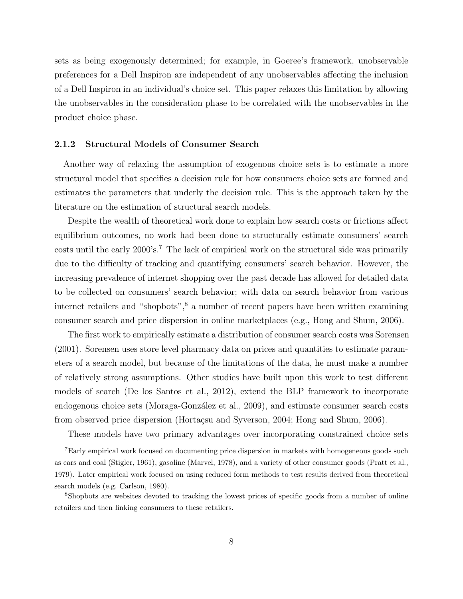sets as being exogenously determined; for example, in Goeree's framework, unobservable preferences for a Dell Inspiron are independent of any unobservables affecting the inclusion of a Dell Inspiron in an individual's choice set. This paper relaxes this limitation by allowing the unobservables in the consideration phase to be correlated with the unobservables in the product choice phase.

#### 2.1.2 Structural Models of Consumer Search

Another way of relaxing the assumption of exogenous choice sets is to estimate a more structural model that specifies a decision rule for how consumers choice sets are formed and estimates the parameters that underly the decision rule. This is the approach taken by the literature on the estimation of structural search models.

Despite the wealth of theoretical work done to explain how search costs or frictions affect equilibrium outcomes, no work had been done to structurally estimate consumers' search costs until the early 2000's.[7](#page-7-0) The lack of empirical work on the structural side was primarily due to the difficulty of tracking and quantifying consumers' search behavior. However, the increasing prevalence of internet shopping over the past decade has allowed for detailed data to be collected on consumers' search behavior; with data on search behavior from various internet retailers and "shopbots",<sup>[8](#page-7-1)</sup> a number of recent papers have been written examining consumer search and price dispersion in online marketplaces (e.g., Hong and Shum, 2006).

The first work to empirically estimate a distribution of consumer search costs was [Sorensen](#page-34-5) [\(2001\)](#page-34-5). Sorensen uses store level pharmacy data on prices and quantities to estimate parameters of a search model, but because of the limitations of the data, he must make a number of relatively strong assumptions. Other studies have built upon this work to test different models of search [\(De los Santos et al., 2012\)](#page-33-5), extend the BLP framework to incorporate endogenous choice sets (Moraga-González et al., 2009), and estimate consumer search costs from observed price dispersion (Hortaçsu and Syverson, 2004; [Hong and Shum, 2006\)](#page-33-1).

<span id="page-7-0"></span>These models have two primary advantages over incorporating constrained choice sets

<sup>7</sup>Early empirical work focused on documenting price dispersion in markets with homogeneous goods such as cars and coal [\(Stigler, 1961\)](#page-35-1), gasoline [\(Marvel, 1978\)](#page-34-7), and a variety of other consumer goods [\(Pratt et al.,](#page-34-8) [1979\)](#page-34-8). Later empirical work focused on using reduced form methods to test results derived from theoretical search models (e.g. Carlson, 1980).

<span id="page-7-1"></span><sup>8</sup>Shopbots are websites devoted to tracking the lowest prices of specific goods from a number of online retailers and then linking consumers to these retailers.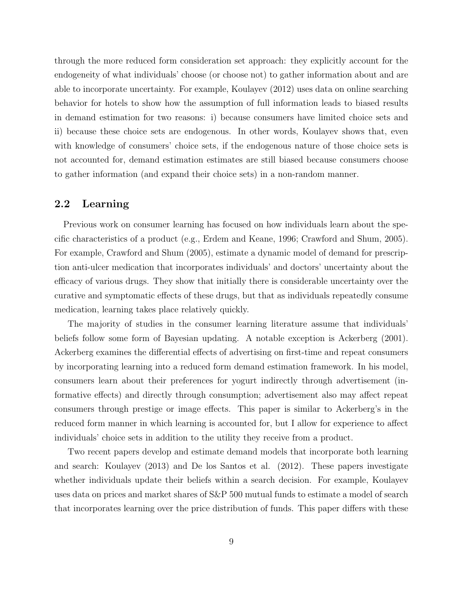through the more reduced form consideration set approach: they explicitly account for the endogeneity of what individuals' choose (or choose not) to gather information about and are able to incorporate uncertainty. For example, [Koulayev](#page-34-1) [\(2012\)](#page-34-1) uses data on online searching behavior for hotels to show how the assumption of full information leads to biased results in demand estimation for two reasons: i) because consumers have limited choice sets and ii) because these choice sets are endogenous. In other words, Koulayev shows that, even with knowledge of consumers' choice sets, if the endogenous nature of those choice sets is not accounted for, demand estimation estimates are still biased because consumers choose to gather information (and expand their choice sets) in a non-random manner.

### 2.2 Learning

Previous work on consumer learning has focused on how individuals learn about the specific characteristics of a product (e.g., Erdem and Keane, 1996; Crawford and Shum, 2005). For example, Crawford and Shum (2005), estimate a dynamic model of demand for prescription anti-ulcer medication that incorporates individuals' and doctors' uncertainty about the efficacy of various drugs. They show that initially there is considerable uncertainty over the curative and symptomatic effects of these drugs, but that as individuals repeatedly consume medication, learning takes place relatively quickly.

The majority of studies in the consumer learning literature assume that individuals' beliefs follow some form of Bayesian updating. A notable exception is [Ackerberg](#page-33-2) [\(2001\)](#page-33-2). Ackerberg examines the differential effects of advertising on first-time and repeat consumers by incorporating learning into a reduced form demand estimation framework. In his model, consumers learn about their preferences for yogurt indirectly through advertisement (informative effects) and directly through consumption; advertisement also may affect repeat consumers through prestige or image effects. This paper is similar to Ackerberg's in the reduced form manner in which learning is accounted for, but I allow for experience to affect individuals' choice sets in addition to the utility they receive from a product.

Two recent papers develop and estimate demand models that incorporate both learning and search: Koulayev (2013) and De los Santos et al. (2012). These papers investigate whether individuals update their beliefs within a search decision. For example, Koulayev uses data on prices and market shares of S&P 500 mutual funds to estimate a model of search that incorporates learning over the price distribution of funds. This paper differs with these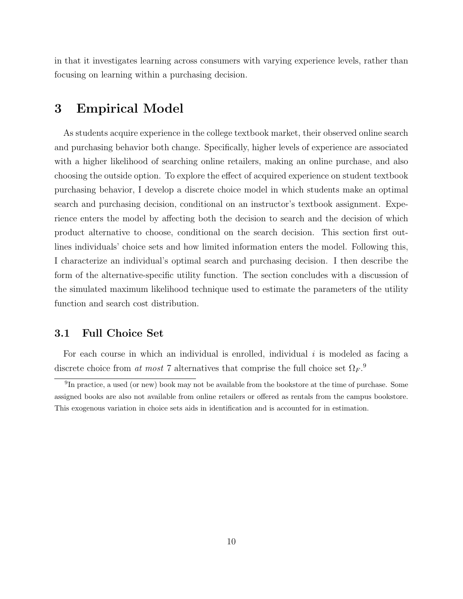in that it investigates learning across consumers with varying experience levels, rather than focusing on learning within a purchasing decision.

# 3 Empirical Model

As students acquire experience in the college textbook market, their observed online search and purchasing behavior both change. Specifically, higher levels of experience are associated with a higher likelihood of searching online retailers, making an online purchase, and also choosing the outside option. To explore the effect of acquired experience on student textbook purchasing behavior, I develop a discrete choice model in which students make an optimal search and purchasing decision, conditional on an instructor's textbook assignment. Experience enters the model by affecting both the decision to search and the decision of which product alternative to choose, conditional on the search decision. This section first outlines individuals' choice sets and how limited information enters the model. Following this, I characterize an individual's optimal search and purchasing decision. I then describe the form of the alternative-specific utility function. The section concludes with a discussion of the simulated maximum likelihood technique used to estimate the parameters of the utility function and search cost distribution.

### 3.1 Full Choice Set

For each course in which an individual is enrolled, individual i is modeled as facing a discrete choice from at most 7 alternatives that comprise the full choice set  $\Omega_F$ .<sup>[9](#page-9-0)</sup>

<span id="page-9-0"></span><sup>&</sup>lt;sup>9</sup>In practice, a used (or new) book may not be available from the bookstore at the time of purchase. Some assigned books are also not available from online retailers or offered as rentals from the campus bookstore. This exogenous variation in choice sets aids in identification and is accounted for in estimation.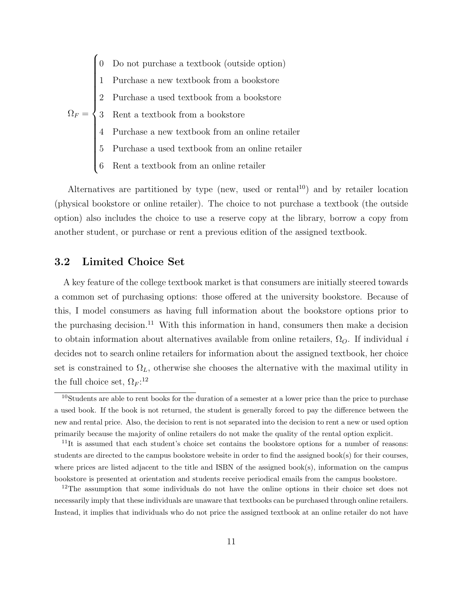$\Omega_F =$  0 Do not purchase a textbook (outside option)  $\begin{array}{c} \hline \end{array}$  1 Purchase a new textbook from a bookstore 2 Purchase a used textbook from a bookstore 3 Rent a textbook from a bookstore 4 Purchase a new textbook from an online retailer 5 Purchase a used textbook from an online retailer 6 Rent a textbook from an online retailer

Alternatives are partitioned by type (new, used or rental<sup>[10](#page-10-0)</sup>) and by retailer location (physical bookstore or online retailer). The choice to not purchase a textbook (the outside option) also includes the choice to use a reserve copy at the library, borrow a copy from another student, or purchase or rent a previous edition of the assigned textbook.

# 3.2 Limited Choice Set

A key feature of the college textbook market is that consumers are initially steered towards a common set of purchasing options: those offered at the university bookstore. Because of this, I model consumers as having full information about the bookstore options prior to the purchasing decision.<sup>[11](#page-10-1)</sup> With this information in hand, consumers then make a decision to obtain information about alternatives available from online retailers,  $\Omega_O$ . If individual *i* decides not to search online retailers for information about the assigned textbook, her choice set is constrained to  $\Omega_L$ , otherwise she chooses the alternative with the maximal utility in the full choice set,  $\Omega_F$ :<sup>[12](#page-10-2)</sup>

<span id="page-10-0"></span><sup>10</sup>Students are able to rent books for the duration of a semester at a lower price than the price to purchase a used book. If the book is not returned, the student is generally forced to pay the difference between the new and rental price. Also, the decision to rent is not separated into the decision to rent a new or used option primarily because the majority of online retailers do not make the quality of the rental option explicit.

<span id="page-10-1"></span> $11$ It is assumed that each student's choice set contains the bookstore options for a number of reasons: students are directed to the campus bookstore website in order to find the assigned book(s) for their courses, where prices are listed adjacent to the title and ISBN of the assigned book(s), information on the campus bookstore is presented at orientation and students receive periodical emails from the campus bookstore.

<span id="page-10-2"></span><sup>&</sup>lt;sup>12</sup>The assumption that some individuals do not have the online options in their choice set does not necessarily imply that these individuals are unaware that textbooks can be purchased through online retailers. Instead, it implies that individuals who do not price the assigned textbook at an online retailer do not have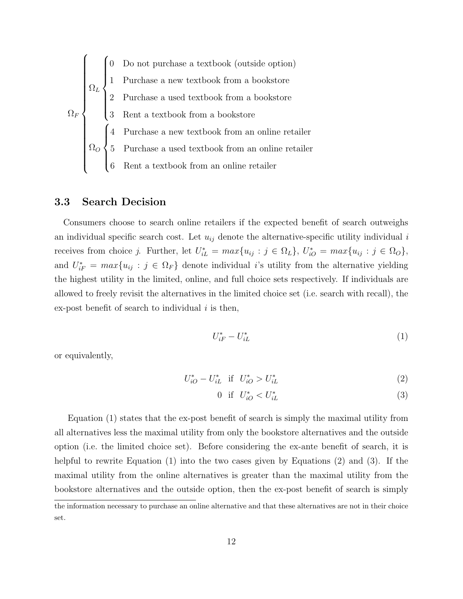$$
\Omega_F
$$
\n
$$
\Omega_F
$$
\n
$$
\Omega_F
$$
\n
$$
\Omega_F
$$
\n
$$
\Omega_F
$$
\n
$$
\Omega_F
$$
\n
$$
\Omega_F
$$
\n
$$
\Omega_F
$$
\n
$$
\Omega_F
$$
\n
$$
\Omega_F
$$
\n
$$
\Omega_F
$$
\n
$$
\Omega_F
$$
\n
$$
\Omega_F
$$
\n
$$
\Omega_F
$$
\n
$$
\Omega_F
$$
\n
$$
\Omega_F
$$
\n
$$
\Omega_F
$$
\n
$$
\Omega_F
$$
\n
$$
\Omega_F
$$
\n
$$
\Omega_F
$$
\n
$$
\Omega_F
$$
\n
$$
\Omega_F
$$
\n
$$
\Omega_F
$$
\n
$$
\Omega_F
$$
\n
$$
\Omega_F
$$
\n
$$
\Omega_F
$$
\n
$$
\Omega_F
$$
\n
$$
\Omega_F
$$
\n
$$
\Omega_F
$$
\n
$$
\Omega_F
$$
\n
$$
\Omega_F
$$
\n
$$
\Omega_F
$$
\n
$$
\Omega_F
$$
\n
$$
\Omega_F
$$
\n
$$
\Omega_F
$$
\n
$$
\Omega_F
$$
\n
$$
\Omega_F
$$
\n
$$
\Omega_F
$$
\n
$$
\Omega_F
$$
\n
$$
\Omega_F
$$
\n
$$
\Omega_F
$$
\n
$$
\Omega_F
$$
\n
$$
\Omega_F
$$
\n
$$
\Omega_F
$$
\n
$$
\Omega_F
$$
\n
$$
\Omega_F
$$
\n
$$
\Omega_F
$$
\n
$$
\Omega_F
$$
\n
$$
\Omega_F
$$
\n
$$
\Omega_F
$$
\n
$$
\Omega_F
$$
\n
$$
\Omega_F
$$
\n
$$
\Omega_F
$$
\n
$$
\Omega_F
$$
\n
$$
\Omega_F
$$
\n
$$
\Omega_F
$$
\n
$$
\Omega_F
$$
\n
$$
\Omega_F
$$
\n
$$
\Omega_F
$$
\n
$$
\Omega_F
$$
\n
$$
\Omega_F
$$
\n
$$
\Omega_F
$$
\n
$$
\Omega_F
$$
\n
$$
\Omega_F
$$

#### 3.3 Search Decision

Consumers choose to search online retailers if the expected benefit of search outweighs an individual specific search cost. Let  $u_{ij}$  denote the alternative-specific utility individual i receives from choice j. Further, let  $U_{iL}^* = max\{u_{ij} : j \in \Omega_L\}$ ,  $U_{iO}^* = max\{u_{ij} : j \in \Omega_O\}$ , and  $U_{iF}^* = max\{u_{ij} : j \in \Omega_F\}$  denote individual i's utility from the alternative yielding the highest utility in the limited, online, and full choice sets respectively. If individuals are allowed to freely revisit the alternatives in the limited choice set (i.e. search with recall), the ex-post benefit of search to individual  $i$  is then,

<span id="page-11-1"></span><span id="page-11-0"></span>
$$
U_{iF}^* - U_{iL}^* \tag{1}
$$

or equivalently,

$$
U_{iO}^* - U_{iL}^* \text{ if } U_{iO}^* > U_{iL}^* \tag{2}
$$

<span id="page-11-2"></span>
$$
0 \quad \text{if} \quad U_{iO}^* < U_{iL}^* \tag{3}
$$

Equation [\(1\)](#page-11-0) states that the ex-post benefit of search is simply the maximal utility from all alternatives less the maximal utility from only the bookstore alternatives and the outside option (i.e. the limited choice set). Before considering the ex-ante benefit of search, it is helpful to rewrite Equation [\(1\)](#page-11-0) into the two cases given by Equations [\(2\)](#page-11-1) and [\(3\)](#page-11-2). If the maximal utility from the online alternatives is greater than the maximal utility from the bookstore alternatives and the outside option, then the ex-post benefit of search is simply

the information necessary to purchase an online alternative and that these alternatives are not in their choice set.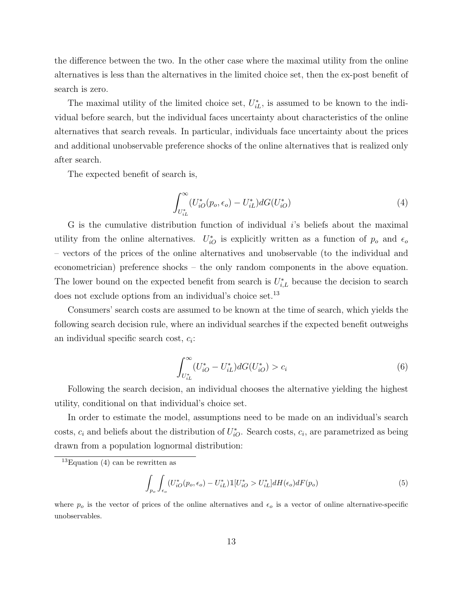the difference between the two. In the other case where the maximal utility from the online alternatives is less than the alternatives in the limited choice set, then the ex-post benefit of search is zero.

The maximal utility of the limited choice set,  $U_{iL}^*$ , is assumed to be known to the individual before search, but the individual faces uncertainty about characteristics of the online alternatives that search reveals. In particular, individuals face uncertainty about the prices and additional unobservable preference shocks of the online alternatives that is realized only after search.

The expected benefit of search is,

<span id="page-12-1"></span>
$$
\int_{U_{iL}^*}^{\infty} (U_{iO}^*(p_o, \epsilon_o) - U_{iL}^*) dG(U_{iO}^*)
$$
\n(4)

G is the cumulative distribution function of individual i's beliefs about the maximal utility from the online alternatives.  $U_{iO}^*$  is explicitly written as a function of  $p_o$  and  $\epsilon_o$ – vectors of the prices of the online alternatives and unobservable (to the individual and econometrician) preference shocks – the only random components in the above equation. The lower bound on the expected benefit from search is  $U_{i,L}^*$  because the decision to search does not exclude options from an individual's choice set.[13](#page-12-0)

Consumers' search costs are assumed to be known at the time of search, which yields the following search decision rule, where an individual searches if the expected benefit outweighs an individual specific search cost,  $c_i$ :

<span id="page-12-2"></span>
$$
\int_{U_{iL}^*}^{\infty} (U_{iO}^* - U_{iL}^*) dG(U_{iO}^*) > c_i
$$
\n(6)

Following the search decision, an individual chooses the alternative yielding the highest utility, conditional on that individual's choice set.

In order to estimate the model, assumptions need to be made on an individual's search costs,  $c_i$  and beliefs about the distribution of  $U_{iO}^*$ . Search costs,  $c_i$ , are parametrized as being drawn from a population lognormal distribution:

$$
\int_{p_o} \int_{\epsilon_o} (U_{iO}^*(p_o, \epsilon_o) - U_{iL}^*) \mathbbm{1}[U_{iO}^* > U_{iL}^*] dH(\epsilon_o) dF(p_o) \tag{5}
$$

where  $p<sub>o</sub>$  is the vector of prices of the online alternatives and  $\epsilon<sub>o</sub>$  is a vector of online alternative-specific unobservables.

<span id="page-12-0"></span><sup>&</sup>lt;sup>13</sup>Equation  $(4)$  can be rewritten as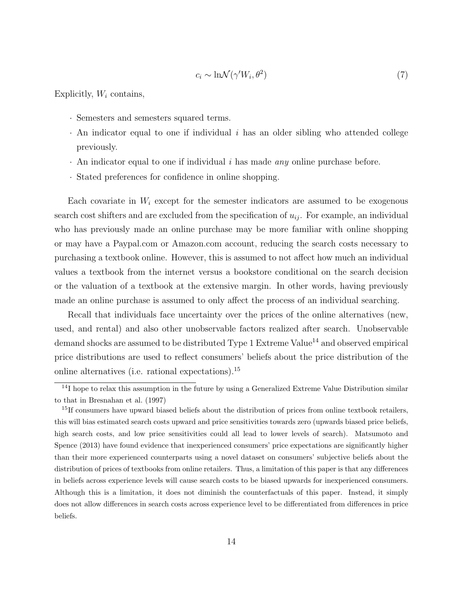$$
c_i \sim \ln \mathcal{N}(\gamma' W_i, \theta^2)
$$
\n<sup>(7)</sup>

Explicitly,  $W_i$  contains,

- · Semesters and semesters squared terms.
- $\cdot$  An indicator equal to one if individual i has an older sibling who attended college previously.
- $\cdot$  An indicator equal to one if individual i has made any online purchase before.
- · Stated preferences for confidence in online shopping.

Each covariate in  $W_i$  except for the semester indicators are assumed to be exogenous search cost shifters and are excluded from the specification of  $u_{ij}$ . For example, an individual who has previously made an online purchase may be more familiar with online shopping or may have a Paypal.com or Amazon.com account, reducing the search costs necessary to purchasing a textbook online. However, this is assumed to not affect how much an individual values a textbook from the internet versus a bookstore conditional on the search decision or the valuation of a textbook at the extensive margin. In other words, having previously made an online purchase is assumed to only affect the process of an individual searching.

Recall that individuals face uncertainty over the prices of the online alternatives (new, used, and rental) and also other unobservable factors realized after search. Unobservable demand shocks are assumed to be distributed Type 1 Extreme Value<sup>[14](#page-13-0)</sup> and observed empirical price distributions are used to reflect consumers' beliefs about the price distribution of the online alternatives (i.e. rational expectations).[15](#page-13-1)

<span id="page-13-0"></span> $14$ I hope to relax this assumption in the future by using a Generalized Extreme Value Distribution similar to that in [Bresnahan et al.](#page-33-6) [\(1997\)](#page-33-6)

<span id="page-13-1"></span> $15$ If consumers have upward biased beliefs about the distribution of prices from online textbook retailers, this will bias estimated search costs upward and price sensitivities towards zero (upwards biased price beliefs, high search costs, and low price sensitivities could all lead to lower levels of search). [Matsumoto and](#page-34-9) [Spence](#page-34-9) [\(2013\)](#page-34-9) have found evidence that inexperienced consumers' price expectations are significantly higher than their more experienced counterparts using a novel dataset on consumers' subjective beliefs about the distribution of prices of textbooks from online retailers. Thus, a limitation of this paper is that any differences in beliefs across experience levels will cause search costs to be biased upwards for inexperienced consumers. Although this is a limitation, it does not diminish the counterfactuals of this paper. Instead, it simply does not allow differences in search costs across experience level to be differentiated from differences in price beliefs.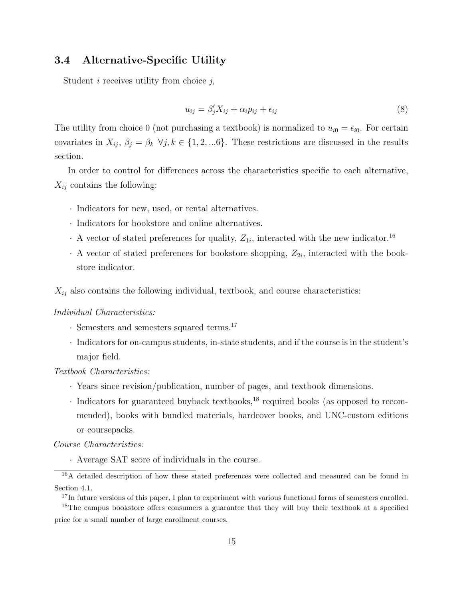### 3.4 Alternative-Specific Utility

Student  $i$  receives utility from choice  $j$ ,

$$
u_{ij} = \beta_j' X_{ij} + \alpha_i p_{ij} + \epsilon_{ij}
$$
\n<sup>(8)</sup>

The utility from choice 0 (not purchasing a textbook) is normalized to  $u_{i0} = \epsilon_{i0}$ . For certain covariates in  $X_{ij}$ ,  $\beta_j = \beta_k \ \forall j, k \in \{1, 2, \dots 6\}$ . These restrictions are discussed in the results section.

In order to control for differences across the characteristics specific to each alternative,  $X_{ij}$  contains the following:

- · Indicators for new, used, or rental alternatives.
- · Indicators for bookstore and online alternatives.
- $\cdot$  A vector of stated preferences for quality,  $Z_{1i}$ , interacted with the new indicator.<sup>[16](#page-14-0)</sup>
- $\cdot$  A vector of stated preferences for bookstore shopping,  $Z_{2i}$ , interacted with the bookstore indicator.

 $X_{ij}$  also contains the following individual, textbook, and course characteristics:

#### Individual Characteristics:

- · Semesters and semesters squared terms.[17](#page-14-1)
- · Indicators for on-campus students, in-state students, and if the course is in the student's major field.

#### Textbook Characteristics:

- · Years since revision/publication, number of pages, and textbook dimensions.
- · Indicators for guaranteed buyback textbooks,[18](#page-14-2) required books (as opposed to recommended), books with bundled materials, hardcover books, and UNC-custom editions or coursepacks.

#### Course Characteristics:

<span id="page-14-0"></span>· Average SAT score of individuals in the course.

<sup>&</sup>lt;sup>16</sup>A detailed description of how these stated preferences were collected and measured can be found in Section [4.1.](#page-19-0)

<span id="page-14-2"></span><span id="page-14-1"></span><sup>&</sup>lt;sup>17</sup>In future versions of this paper, I plan to experiment with various functional forms of semesters enrolled. <sup>18</sup>The campus bookstore offers consumers a guarantee that they will buy their textbook at a specified price for a small number of large enrollment courses.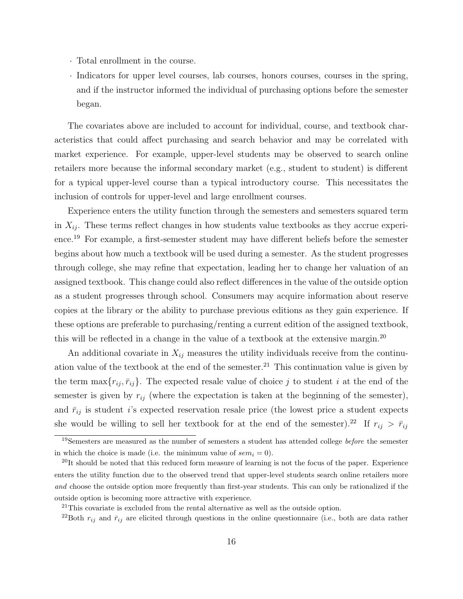- · Total enrollment in the course.
- · Indicators for upper level courses, lab courses, honors courses, courses in the spring, and if the instructor informed the individual of purchasing options before the semester began.

The covariates above are included to account for individual, course, and textbook characteristics that could affect purchasing and search behavior and may be correlated with market experience. For example, upper-level students may be observed to search online retailers more because the informal secondary market (e.g., student to student) is different for a typical upper-level course than a typical introductory course. This necessitates the inclusion of controls for upper-level and large enrollment courses.

Experience enters the utility function through the semesters and semesters squared term in  $X_{ij}$ . These terms reflect changes in how students value textbooks as they accrue experience.[19](#page-15-0) For example, a first-semester student may have different beliefs before the semester begins about how much a textbook will be used during a semester. As the student progresses through college, she may refine that expectation, leading her to change her valuation of an assigned textbook. This change could also reflect differences in the value of the outside option as a student progresses through school. Consumers may acquire information about reserve copies at the library or the ability to purchase previous editions as they gain experience. If these options are preferable to purchasing/renting a current edition of the assigned textbook, this will be reflected in a change in the value of a textbook at the extensive margin.<sup>[20](#page-15-1)</sup>

An additional covariate in  $X_{ij}$  measures the utility individuals receive from the continu-ation value of the textbook at the end of the semester.<sup>[21](#page-15-2)</sup> This continuation value is given by the term  $\max\{r_{ij}, \bar{r}_{ij}\}.$  The expected resale value of choice j to student i at the end of the semester is given by  $r_{ij}$  (where the expectation is taken at the beginning of the semester), and  $\bar{r}_{ij}$  is student *i*'s expected reservation resale price (the lowest price a student expects she would be willing to sell her textbook for at the end of the semester).<sup>[22](#page-15-3)</sup> If  $r_{ij} > \bar{r}_{ij}$ 

<span id="page-15-0"></span> $19$ Semesters are measured as the number of semesters a student has attended college *before* the semester in which the choice is made (i.e. the minimum value of  $sem_i = 0$ ).

<span id="page-15-1"></span> $^{20}$ It should be noted that this reduced form measure of learning is not the focus of the paper. Experience enters the utility function due to the observed trend that upper-level students search online retailers more and choose the outside option more frequently than first-year students. This can only be rationalized if the outside option is becoming more attractive with experience.

<span id="page-15-3"></span><span id="page-15-2"></span><sup>&</sup>lt;sup>21</sup>This covariate is excluded from the rental alternative as well as the outside option.

<sup>&</sup>lt;sup>22</sup>Both  $r_{ij}$  and  $\bar{r}_{ij}$  are elicited through questions in the online questionnaire (i.e., both are data rather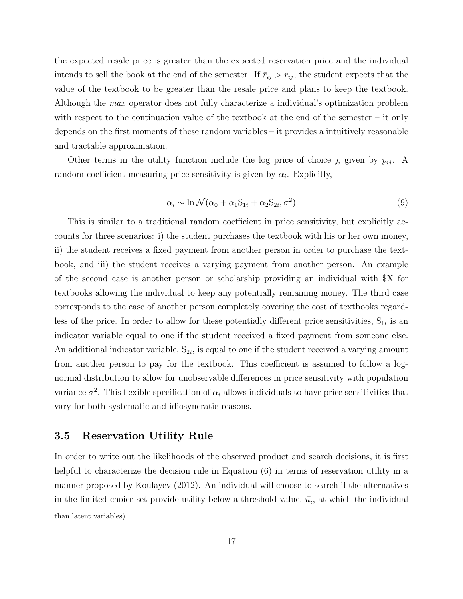the expected resale price is greater than the expected reservation price and the individual intends to sell the book at the end of the semester. If  $\bar{r}_{ij} > r_{ij}$ , the student expects that the value of the textbook to be greater than the resale price and plans to keep the textbook. Although the max operator does not fully characterize a individual's optimization problem with respect to the continuation value of the textbook at the end of the semester – it only depends on the first moments of these random variables – it provides a intuitively reasonable and tractable approximation.

Other terms in the utility function include the log price of choice j, given by  $p_{ij}$ . A random coefficient measuring price sensitivity is given by  $\alpha_i$ . Explicitly,

$$
\alpha_i \sim \ln \mathcal{N}(\alpha_0 + \alpha_1 \mathbf{S}_{1i} + \alpha_2 \mathbf{S}_{2i}, \sigma^2)
$$
\n(9)

This is similar to a traditional random coefficient in price sensitivity, but explicitly accounts for three scenarios: i) the student purchases the textbook with his or her own money, ii) the student receives a fixed payment from another person in order to purchase the textbook, and iii) the student receives a varying payment from another person. An example of the second case is another person or scholarship providing an individual with \$X for textbooks allowing the individual to keep any potentially remaining money. The third case corresponds to the case of another person completely covering the cost of textbooks regardless of the price. In order to allow for these potentially different price sensitivities,  $S_{1i}$  is an indicator variable equal to one if the student received a fixed payment from someone else. An additional indicator variable,  $S_{2i}$ , is equal to one if the student received a varying amount from another person to pay for the textbook. This coefficient is assumed to follow a lognormal distribution to allow for unobservable differences in price sensitivity with population variance  $\sigma^2$ . This flexible specification of  $\alpha_i$  allows individuals to have price sensitivities that vary for both systematic and idiosyncratic reasons.

### 3.5 Reservation Utility Rule

In order to write out the likelihoods of the observed product and search decisions, it is first helpful to characterize the decision rule in Equation [\(6\)](#page-12-2) in terms of reservation utility in a manner proposed by [Koulayev](#page-34-1) [\(2012\)](#page-34-1). An individual will choose to search if the alternatives in the limited choice set provide utility below a threshold value,  $\bar{u}_i$ , at which the individual than latent variables).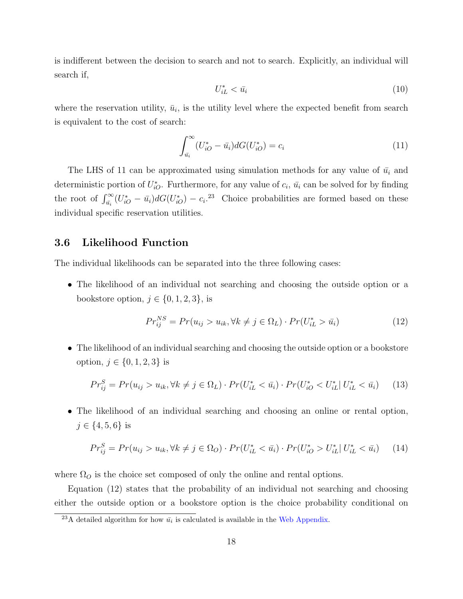is indifferent between the decision to search and not to search. Explicitly, an individual will search if,

$$
U_{iL}^* < \bar{u}_i \tag{10}
$$

where the reservation utility,  $\bar{u}_i$ , is the utility level where the expected benefit from search is equivalent to the cost of search:

<span id="page-17-0"></span>
$$
\int_{\bar{u}_i}^{\infty} (U_{iO}^* - \bar{u}_i) dG(U_{iO}^*) = c_i
$$
\n(11)

The LHS of [11](#page-17-0) can be approximated using simulation methods for any value of  $\bar{u}_i$  and deterministic portion of  $U_{iO}^*$ . Furthermore, for any value of  $c_i$ ,  $\bar{u}_i$  can be solved for by finding the root of  $\int_{\bar{u}_i}^{\infty} (U_{iO}^* - \bar{u}_i) dG(U_{iO}^*) - c_i^{23}$  $\int_{\bar{u}_i}^{\infty} (U_{iO}^* - \bar{u}_i) dG(U_{iO}^*) - c_i^{23}$  $\int_{\bar{u}_i}^{\infty} (U_{iO}^* - \bar{u}_i) dG(U_{iO}^*) - c_i^{23}$  Choice probabilities are formed based on these individual specific reservation utilities.

### 3.6 Likelihood Function

The individual likelihoods can be separated into the three following cases:

• The likelihood of an individual not searching and choosing the outside option or a bookstore option,  $j \in \{0, 1, 2, 3\}$ , is

<span id="page-17-2"></span>
$$
Pr_{ij}^{NS} = Pr(u_{ij} > u_{ik}, \forall k \neq j \in \Omega_L) \cdot Pr(U_{iL}^* > \overline{u_i})
$$
\n(12)

• The likelihood of an individual searching and choosing the outside option or a bookstore option,  $j \in \{0, 1, 2, 3\}$  is

<span id="page-17-3"></span>
$$
Pr_{ij}^{S} = Pr(u_{ij} > u_{ik}, \forall k \neq j \in \Omega_L) \cdot Pr(U_{iL}^* < \bar{u}_i) \cdot Pr(U_{iO}^* < U_{iL}^* | U_{iL}^* < \bar{u}_i) \tag{13}
$$

• The likelihood of an individual searching and choosing an online or rental option,  $j \in \{4, 5, 6\}$  is

<span id="page-17-4"></span>
$$
Pr_{ij}^{S} = Pr(u_{ij} > u_{ik}, \forall k \neq j \in \Omega_O) \cdot Pr(U_{iL}^* < \bar{u}_i) \cdot Pr(U_{iO}^* > U_{iL}^* | U_{iL}^* < \bar{u}_i) \tag{14}
$$

where  $\Omega_O$  is the choice set composed of only the online and rental options.

Equation [\(12\)](#page-17-2) states that the probability of an individual not searching and choosing either the outside option or a bookstore option is the choice probability conditional on

<span id="page-17-1"></span><sup>&</sup>lt;sup>23</sup>A detailed algorithm for how  $\bar{u}_i$  is calculated is available in the [Web Appendix.](http://forrestspence.web.unc.edu/files/2013/01/TextbooksV9_WebAppendix.pdf)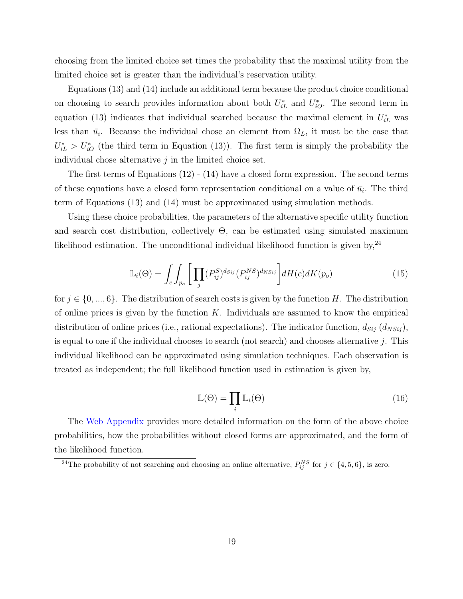choosing from the limited choice set times the probability that the maximal utility from the limited choice set is greater than the individual's reservation utility.

Equations [\(13\)](#page-17-3) and [\(14\)](#page-17-4) include an additional term because the product choice conditional on choosing to search provides information about both  $U_{iL}^*$  and  $U_{iO}^*$ . The second term in equation [\(13\)](#page-17-3) indicates that individual searched because the maximal element in  $U_{iL}^*$  was less than  $\bar{u_i}$ . Because the individual chose an element from  $\Omega_L$ , it must be the case that  $U_{iL}^* > U_{iO}^*$  (the third term in Equation [\(13\)](#page-17-3)). The first term is simply the probability the individual chose alternative  $j$  in the limited choice set.

The first terms of Equations [\(12\)](#page-17-2) - [\(14\)](#page-17-4) have a closed form expression. The second terms of these equations have a closed form representation conditional on a value of  $\bar{u_i}$ . The third term of Equations [\(13\)](#page-17-3) and [\(14\)](#page-17-4) must be approximated using simulation methods.

Using these choice probabilities, the parameters of the alternative specific utility function and search cost distribution, collectively  $\Theta$ , can be estimated using simulated maximum likelihood estimation. The unconditional individual likelihood function is given by,  $24$ 

$$
\mathbb{L}_i(\Theta) = \int_c \int_{p_o} \left[ \prod_j (P_{ij}^S)^{d_{Sij}} (P_{ij}^{NS})^{d_{NSij}} \right] dH(c) dK(p_o)
$$
\n(15)

for  $j \in \{0, ..., 6\}$ . The distribution of search costs is given by the function H. The distribution of online prices is given by the function  $K$ . Individuals are assumed to know the empirical distribution of online prices (i.e., rational expectations). The indicator function,  $d_{Sij}$   $(d_{NSij})$ , is equal to one if the individual chooses to search (not search) and chooses alternative  $j$ . This individual likelihood can be approximated using simulation techniques. Each observation is treated as independent; the full likelihood function used in estimation is given by,

$$
\mathbb{L}(\Theta) = \prod_{i} \mathbb{L}_{i}(\Theta)
$$
\n(16)

The [Web Appendix](http://forrestspence.web.unc.edu/files/2013/01/TextbooksV9_WebAppendix.pdf) provides more detailed information on the form of the above choice probabilities, how the probabilities without closed forms are approximated, and the form of the likelihood function.

<span id="page-18-0"></span><sup>&</sup>lt;sup>24</sup>The probability of not searching and choosing an online alternative,  $P_{ij}^{NS}$  for  $j \in \{4, 5, 6\}$ , is zero.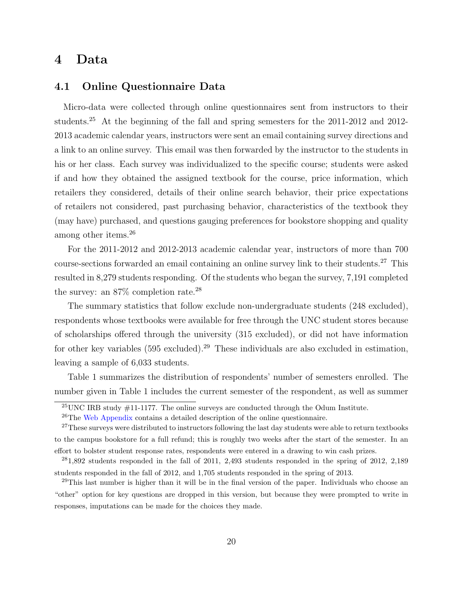# 4 Data

### <span id="page-19-0"></span>4.1 Online Questionnaire Data

Micro-data were collected through online questionnaires sent from instructors to their students.[25](#page-19-1) At the beginning of the fall and spring semesters for the 2011-2012 and 2012- 2013 academic calendar years, instructors were sent an email containing survey directions and a link to an online survey. This email was then forwarded by the instructor to the students in his or her class. Each survey was individualized to the specific course; students were asked if and how they obtained the assigned textbook for the course, price information, which retailers they considered, details of their online search behavior, their price expectations of retailers not considered, past purchasing behavior, characteristics of the textbook they (may have) purchased, and questions gauging preferences for bookstore shopping and quality among other items.[26](#page-19-2)

For the 2011-2012 and 2012-2013 academic calendar year, instructors of more than 700 course-sections forwarded an email containing an online survey link to their students.[27](#page-19-3) This resulted in 8,279 students responding. Of the students who began the survey, 7,191 completed the survey: an  $87\%$  completion rate.<sup>[28](#page-19-4)</sup>

The summary statistics that follow exclude non-undergraduate students (248 excluded), respondents whose textbooks were available for free through the UNC student stores because of scholarships offered through the university (315 excluded), or did not have information for other key variables  $(595 \text{ excluded})^{29}$  $(595 \text{ excluded})^{29}$  $(595 \text{ excluded})^{29}$  These individuals are also excluded in estimation, leaving a sample of 6,033 students.

Table [1](#page-20-0) summarizes the distribution of respondents' number of semesters enrolled. The number given in Table [1](#page-20-0) includes the current semester of the respondent, as well as summer

<span id="page-19-2"></span><span id="page-19-1"></span> $^{25}$ UNC IRB study  $\#$ 11-1177. The online surveys are conducted through the Odum Institute.

<span id="page-19-3"></span> $^{26}$ The [Web Appendix](http://forrestspence.web.unc.edu/files/2013/01/TextbooksV9_WebAppendix.pdf) contains a detailed description of the online questionnaire.

<sup>&</sup>lt;sup>27</sup>These surveys were distributed to instructors following the last day students were able to return textbooks to the campus bookstore for a full refund; this is roughly two weeks after the start of the semester. In an effort to bolster student response rates, respondents were entered in a drawing to win cash prizes.

<span id="page-19-4"></span><sup>28</sup>1,892 students responded in the fall of 2011, 2,493 students responded in the spring of 2012, 2,189 students responded in the fall of 2012, and 1,705 students responded in the spring of 2013.

<span id="page-19-5"></span><sup>&</sup>lt;sup>29</sup>This last number is higher than it will be in the final version of the paper. Individuals who choose an "other" option for key questions are dropped in this version, but because they were prompted to write in responses, imputations can be made for the choices they made.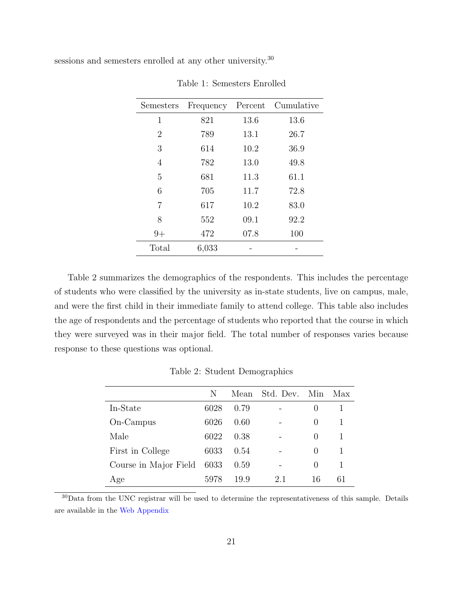<span id="page-20-0"></span>sessions and semesters enrolled at any other university.<sup>[30](#page-20-1)</sup>

| Semesters | Frequency | Percent | Cumulative |
|-----------|-----------|---------|------------|
| 1         | 821       | 13.6    | 13.6       |
| 2         | 789       | 13.1    | 26.7       |
| 3         | 614       | 10.2    | 36.9       |
| 4         | 782       | 13.0    | 49.8       |
| 5         | 681       | 11.3    | 61.1       |
| 6         | 705       | 11.7    | 72.8       |
| 7         | 617       | 10.2    | 83.0       |
| 8         | 552       | 09.1    | 92.2       |
| $9+$      | 472       | 07.8    | 100        |
| Total     | 6,033     |         |            |

Table 1: Semesters Enrolled

Table [2](#page-20-2) summarizes the demographics of the respondents. This includes the percentage of students who were classified by the university as in-state students, live on campus, male, and were the first child in their immediate family to attend college. This table also includes the age of respondents and the percentage of students who reported that the course in which they were surveyed was in their major field. The total number of responses varies because response to these questions was optional.

<span id="page-20-2"></span>

|                       | N    |      | Mean Std. Dev. Min |              | Max |
|-----------------------|------|------|--------------------|--------------|-----|
| In-State              | 6028 | 0.79 |                    | $\cup$       |     |
| On-Campus             | 6026 | 0.60 |                    | $\mathbf{0}$ |     |
| Male                  | 6022 | 0.38 |                    | $\mathbf{0}$ |     |
| First in College      | 6033 | 0.54 |                    | $\mathbf{0}$ |     |
| Course in Major Field | 6033 | 0.59 |                    | $\mathbf{0}$ | 1   |
| Age                   | 5978 | 19.9 | 2.1                | 16           |     |

Table 2: Student Demographics

<span id="page-20-1"></span><sup>30</sup>Data from the UNC registrar will be used to determine the representativeness of this sample. Details are available in the [Web Appendix](http://forrestspence.web.unc.edu/files/2013/01/TextbooksV9_WebAppendix.pdf)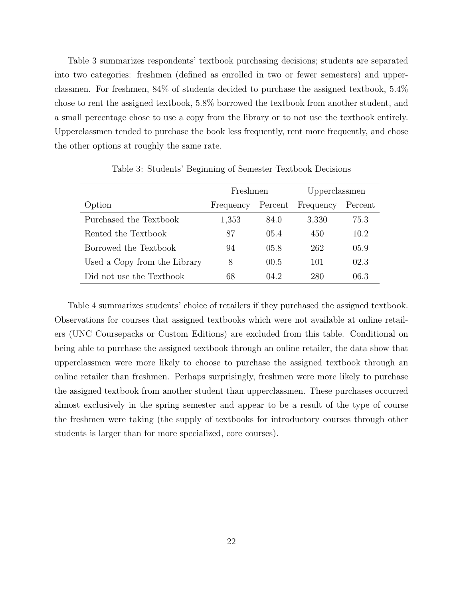Table [3](#page-21-0) summarizes respondents' textbook purchasing decisions; students are separated into two categories: freshmen (defined as enrolled in two or fewer semesters) and upperclassmen. For freshmen, 84% of students decided to purchase the assigned textbook, 5.4% chose to rent the assigned textbook, 5.8% borrowed the textbook from another student, and a small percentage chose to use a copy from the library or to not use the textbook entirely. Upperclassmen tended to purchase the book less frequently, rent more frequently, and chose the other options at roughly the same rate.

<span id="page-21-0"></span>

|                              | Freshmen  |         | Upperclassmen |         |
|------------------------------|-----------|---------|---------------|---------|
| Option                       | Frequency | Percent | Frequency     | Percent |
| Purchased the Textbook       | 1,353     | 84.0    | 3,330         | 75.3    |
| Rented the Textbook          | 87        | 05.4    | 450           | 10.2    |
| Borrowed the Textbook        | 94        | 05.8    | 262           | 05.9    |
| Used a Copy from the Library | 8         | 00.5    | 101           | 02.3    |
| Did not use the Textbook     | 68        | 04.2    | 280           | 06.3    |

Table 3: Students' Beginning of Semester Textbook Decisions

Table [4](#page-22-0) summarizes students' choice of retailers if they purchased the assigned textbook. Observations for courses that assigned textbooks which were not available at online retailers (UNC Coursepacks or Custom Editions) are excluded from this table. Conditional on being able to purchase the assigned textbook through an online retailer, the data show that upperclassmen were more likely to choose to purchase the assigned textbook through an online retailer than freshmen. Perhaps surprisingly, freshmen were more likely to purchase the assigned textbook from another student than upperclassmen. These purchases occurred almost exclusively in the spring semester and appear to be a result of the type of course the freshmen were taking (the supply of textbooks for introductory courses through other students is larger than for more specialized, core courses).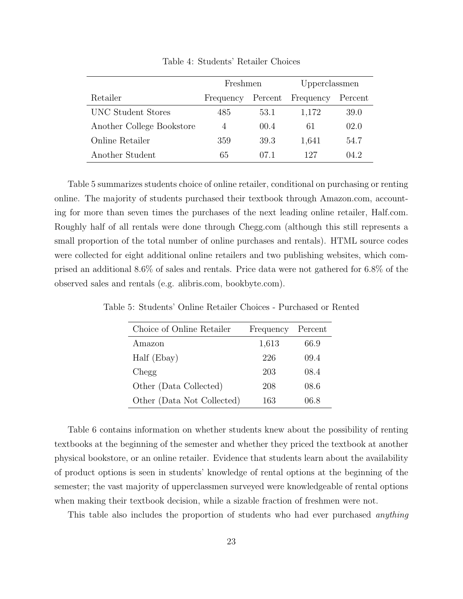<span id="page-22-0"></span>

|                           | Freshmen  |         | Upperclassmen |         |
|---------------------------|-----------|---------|---------------|---------|
| Retailer                  | Frequency | Percent | Frequency     | Percent |
| UNC Student Stores        | 485       | 53.1    | 1,172         | 39.0    |
| Another College Bookstore | 4         | 00.4    | 61            | 02.0    |
| Online Retailer           | 359       | 39.3    | 1,641         | 54.7    |
| Another Student           | 65        | 07.1    | 127           | 04.2    |

Table 4: Students' Retailer Choices

Table [5](#page-22-1) summarizes students choice of online retailer, conditional on purchasing or renting online. The majority of students purchased their textbook through Amazon.com, accounting for more than seven times the purchases of the next leading online retailer, Half.com. Roughly half of all rentals were done through Chegg.com (although this still represents a small proportion of the total number of online purchases and rentals). HTML source codes were collected for eight additional online retailers and two publishing websites, which comprised an additional 8.6% of sales and rentals. Price data were not gathered for 6.8% of the observed sales and rentals (e.g. alibris.com, bookbyte.com).

| Choice of Online Retailer  | Frequency | Percent |
|----------------------------|-----------|---------|
| Amazon                     | 1,613     | 66.9    |
| Half (Ebay)                | 226       | 09.4    |
| Chegg                      | 203       | 08.4    |
| Other (Data Collected)     | 208       | 08.6    |
| Other (Data Not Collected) | 163       | 06.8    |

<span id="page-22-1"></span>Table 5: Students' Online Retailer Choices - Purchased or Rented

Table [6](#page-23-0) contains information on whether students knew about the possibility of renting textbooks at the beginning of the semester and whether they priced the textbook at another physical bookstore, or an online retailer. Evidence that students learn about the availability of product options is seen in students' knowledge of rental options at the beginning of the semester; the vast majority of upperclassmen surveyed were knowledgeable of rental options when making their textbook decision, while a sizable fraction of freshmen were not.

This table also includes the proportion of students who had ever purchased *anything*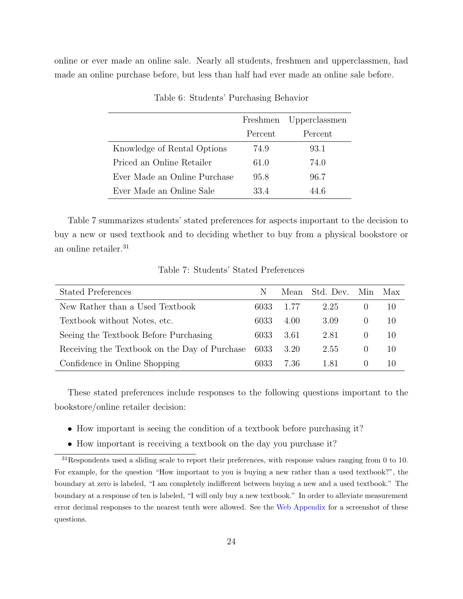<span id="page-23-0"></span>online or ever made an online sale. Nearly all students, freshmen and upperclassmen, had made an online purchase before, but less than half had ever made an online sale before.

|                              | Freshmen Upperclassmen |         |
|------------------------------|------------------------|---------|
|                              | Percent                | Percent |
| Knowledge of Rental Options  | 74.9                   | 93.1    |
| Priced an Online Retailer    | 61.0                   | 74.0    |
| Ever Made an Online Purchase | 95.8                   | 96.7    |
| Ever Made an Online Sale     | 334                    | 44 6    |

Table 6: Students' Purchasing Behavior

Table [7](#page-23-1) summarizes students' stated preferences for aspects important to the decision to buy a new or used textbook and to deciding whether to buy from a physical bookstore or an online retailer.<sup>[31](#page-23-2)</sup>

Table 7: Students' Stated Preferences

<span id="page-23-1"></span>

| <b>Stated Preferences</b>                     | N    |      | Mean Std. Dev. Min | Max |
|-----------------------------------------------|------|------|--------------------|-----|
| New Rather than a Used Textbook               | 6033 | 1.77 | 2.25               | 10  |
| Textbook without Notes, etc.                  | 6033 | 4.00 | 3.09               | 10  |
| Seeing the Textbook Before Purchasing         | 6033 | 3.61 | 2.81               | 10  |
| Receiving the Textbook on the Day of Purchase | 6033 | 3.20 | 2.55               | 10  |
| Confidence in Online Shopping                 | 6033 | 7.36 | 1.81               | 10  |

These stated preferences include responses to the following questions important to the bookstore/online retailer decision:

- How important is seeing the condition of a textbook before purchasing it?
- <span id="page-23-2"></span>• How important is receiving a textbook on the day you purchase it?

<sup>31</sup>Respondents used a sliding scale to report their preferences, with response values ranging from 0 to 10. For example, for the question "How important to you is buying a new rather than a used textbook?", the boundary at zero is labeled, "I am completely indifferent between buying a new and a used textbook." The boundary at a response of ten is labeled, "I will only buy a new textbook." In order to alleviate measurement error decimal responses to the nearest tenth were allowed. See the [Web Appendix](http://forrestspence.web.unc.edu/files/2013/01/TextbooksV9_WebAppendix.pdf) for a screenshot of these questions.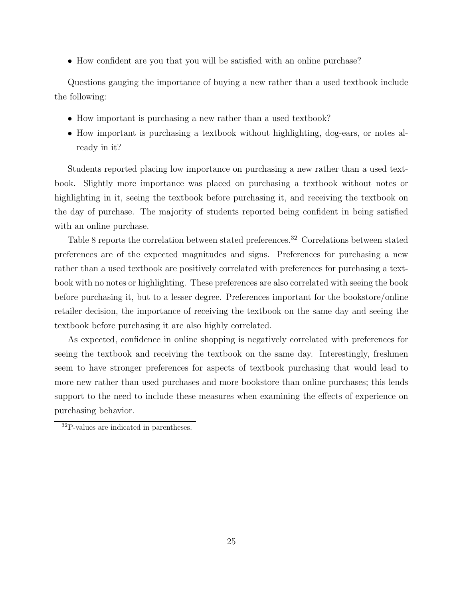• How confident are you that you will be satisfied with an online purchase?

Questions gauging the importance of buying a new rather than a used textbook include the following:

- How important is purchasing a new rather than a used textbook?
- How important is purchasing a textbook without highlighting, dog-ears, or notes already in it?

Students reported placing low importance on purchasing a new rather than a used textbook. Slightly more importance was placed on purchasing a textbook without notes or highlighting in it, seeing the textbook before purchasing it, and receiving the textbook on the day of purchase. The majority of students reported being confident in being satisfied with an online purchase.

Table [8](#page-25-0) reports the correlation between stated preferences.<sup>[32](#page-24-0)</sup> Correlations between stated preferences are of the expected magnitudes and signs. Preferences for purchasing a new rather than a used textbook are positively correlated with preferences for purchasing a textbook with no notes or highlighting. These preferences are also correlated with seeing the book before purchasing it, but to a lesser degree. Preferences important for the bookstore/online retailer decision, the importance of receiving the textbook on the same day and seeing the textbook before purchasing it are also highly correlated.

As expected, confidence in online shopping is negatively correlated with preferences for seeing the textbook and receiving the textbook on the same day. Interestingly, freshmen seem to have stronger preferences for aspects of textbook purchasing that would lead to more new rather than used purchases and more bookstore than online purchases; this lends support to the need to include these measures when examining the effects of experience on purchasing behavior.

<span id="page-24-0"></span><sup>32</sup>P-values are indicated in parentheses.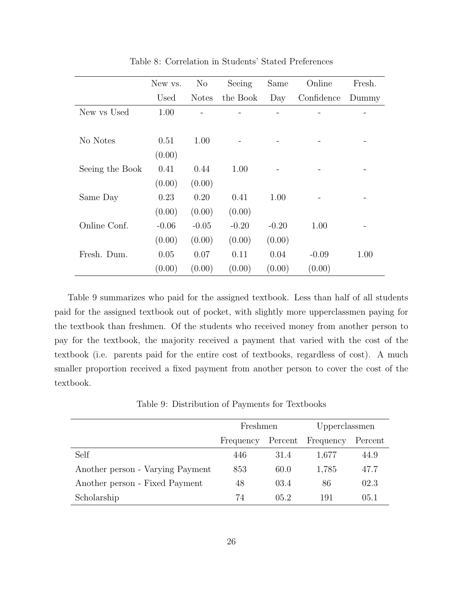<span id="page-25-0"></span>

|                 | New vs. | N <sub>o</sub> | Seeing   | Same    | Online     | Fresh. |
|-----------------|---------|----------------|----------|---------|------------|--------|
|                 | Used    | <b>Notes</b>   | the Book | Day     | Confidence | Dummy  |
| New vs Used     | 1.00    |                |          |         |            |        |
|                 |         |                |          |         |            |        |
| No Notes        | 0.51    | 1.00           |          |         |            |        |
|                 | (0.00)  |                |          |         |            |        |
| Seeing the Book | 0.41    | 0.44           | 1.00     |         |            |        |
|                 | (0.00)  | (0.00)         |          |         |            |        |
| Same Day        | 0.23    | 0.20           | 0.41     | 1.00    |            |        |
|                 | (0.00)  | (0.00)         | (0.00)   |         |            |        |
| Online Conf.    | $-0.06$ | $-0.05$        | $-0.20$  | $-0.20$ | 1.00       |        |
|                 | (0.00)  | (0.00)         | (0.00)   | (0.00)  |            |        |
| Fresh. Dum.     | 0.05    | 0.07           | 0.11     | 0.04    | $-0.09$    | 1.00   |
|                 | (0.00)  | (0.00)         | (0.00)   | (0.00)  | (0.00)     |        |

Table 8: Correlation in Students' Stated Preferences

Table [9](#page-25-1) summarizes who paid for the assigned textbook. Less than half of all students paid for the assigned textbook out of pocket, with slightly more upperclassmen paying for the textbook than freshmen. Of the students who received money from another person to pay for the textbook, the majority received a payment that varied with the cost of the textbook (i.e. parents paid for the entire cost of textbooks, regardless of cost). A much smaller proportion received a fixed payment from another person to cover the cost of the textbook.

Table 9: Distribution of Payments for Textbooks

<span id="page-25-1"></span>

|                                  | Freshmen  |         | Upperclassmen |         |
|----------------------------------|-----------|---------|---------------|---------|
|                                  | Frequency | Percent | Frequency     | Percent |
| Self                             | 446       | 31.4    | 1,677         | 44.9    |
| Another person - Varying Payment | 853       | 60.0    | 1,785         | 47.7    |
| Another person - Fixed Payment   | 48        | 03.4    | 86            | 02.3    |
| Scholarship                      | 74        | 05.2    | 191           | 05.1    |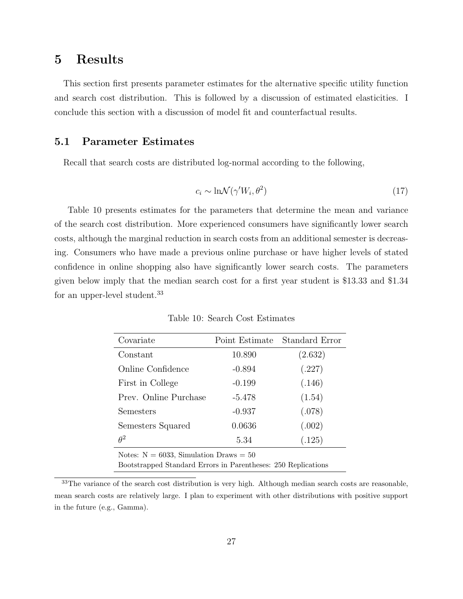# 5 Results

This section first presents parameter estimates for the alternative specific utility function and search cost distribution. This is followed by a discussion of estimated elasticities. I conclude this section with a discussion of model fit and counterfactual results.

# 5.1 Parameter Estimates

Recall that search costs are distributed log-normal according to the following,

$$
c_i \sim \ln \mathcal{N}(\gamma' W_i, \theta^2)
$$
\n<sup>(17)</sup>

Table [10](#page-26-0) presents estimates for the parameters that determine the mean and variance of the search cost distribution. More experienced consumers have significantly lower search costs, although the marginal reduction in search costs from an additional semester is decreasing. Consumers who have made a previous online purchase or have higher levels of stated confidence in online shopping also have significantly lower search costs. The parameters given below imply that the median search cost for a first year student is \$13.33 and \$1.34 for an upper-level student.[33](#page-26-1)

<span id="page-26-0"></span>

| Covariate                                                     | Point Estimate | Standard Error |
|---------------------------------------------------------------|----------------|----------------|
| Constant                                                      | 10.890         | (2.632)        |
| Online Confidence                                             | $-0.894$       | (.227)         |
| First in College                                              | $-0.199$       | (.146)         |
| Prev. Online Purchase                                         | $-5.478$       | (1.54)         |
| Semesters                                                     | $-0.937$       | (.078)         |
| Semesters Squared                                             | 0.0636         | (.002)         |
| $\theta^2$                                                    | 5.34           | (.125)         |
| Notes: $N = 6033$ , Simulation Draws = 50                     |                |                |
| Bootstrapped Standard Errors in Parentheses: 250 Replications |                |                |

Table 10: Search Cost Estimates

<span id="page-26-1"></span><sup>33</sup>The variance of the search cost distribution is very high. Although median search costs are reasonable, mean search costs are relatively large. I plan to experiment with other distributions with positive support in the future (e.g., Gamma).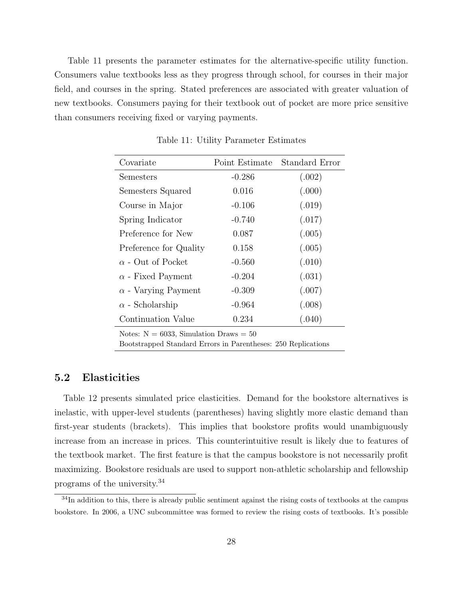Table [11](#page-27-0) presents the parameter estimates for the alternative-specific utility function. Consumers value textbooks less as they progress through school, for courses in their major field, and courses in the spring. Stated preferences are associated with greater valuation of new textbooks. Consumers paying for their textbook out of pocket are more price sensitive than consumers receiving fixed or varying payments.

<span id="page-27-0"></span>

| Covariate                  | Point Estimate | Standard Error |
|----------------------------|----------------|----------------|
| Semesters                  | $-0.286$       | (.002)         |
| Semesters Squared          | 0.016          | (.000)         |
| Course in Major            | $-0.106$       | (.019)         |
| Spring Indicator           | $-0.740$       | (.017)         |
| Preference for New         | 0.087          | (.005)         |
| Preference for Quality     | 0.158          | (.005)         |
| $\alpha$ - Out of Pocket   | $-0.560$       | (.010)         |
| $\alpha$ - Fixed Payment   | $-0.204$       | (.031)         |
| $\alpha$ - Varying Payment | $-0.309$       | (.007)         |
| $\alpha$ - Scholarship     | $-0.964$       | (.008)         |
| Continuation Value         | 0.234          | (.040)         |
|                            |                |                |

Table 11: Utility Parameter Estimates

Notes:  $N = 6033$ , Simulation Draws = 50

Bootstrapped Standard Errors in Parentheses: 250 Replications

### 5.2 Elasticities

Table [12](#page-29-0) presents simulated price elasticities. Demand for the bookstore alternatives is inelastic, with upper-level students (parentheses) having slightly more elastic demand than first-year students (brackets). This implies that bookstore profits would unambiguously increase from an increase in prices. This counterintuitive result is likely due to features of the textbook market. The first feature is that the campus bookstore is not necessarily profit maximizing. Bookstore residuals are used to support non-athletic scholarship and fellowship programs of the university.[34](#page-27-1)

<span id="page-27-1"></span><sup>&</sup>lt;sup>34</sup>In addition to this, there is already public sentiment against the rising costs of textbooks at the campus bookstore. In 2006, a UNC subcommittee was formed to review the rising costs of textbooks. It's possible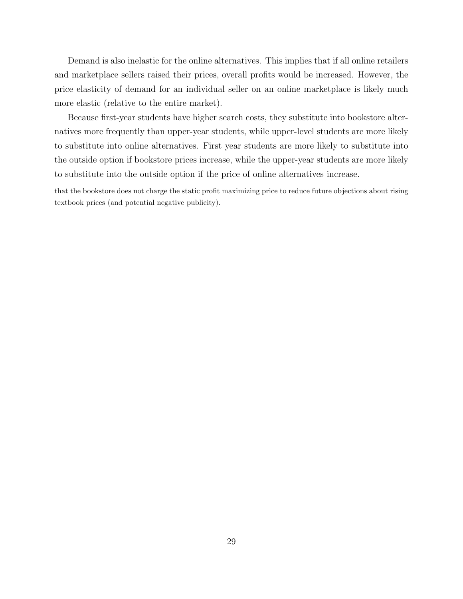Demand is also inelastic for the online alternatives. This implies that if all online retailers and marketplace sellers raised their prices, overall profits would be increased. However, the price elasticity of demand for an individual seller on an online marketplace is likely much more elastic (relative to the entire market).

Because first-year students have higher search costs, they substitute into bookstore alternatives more frequently than upper-year students, while upper-level students are more likely to substitute into online alternatives. First year students are more likely to substitute into the outside option if bookstore prices increase, while the upper-year students are more likely to substitute into the outside option if the price of online alternatives increase.

that the bookstore does not charge the static profit maximizing price to reduce future objections about rising textbook prices (and potential negative publicity).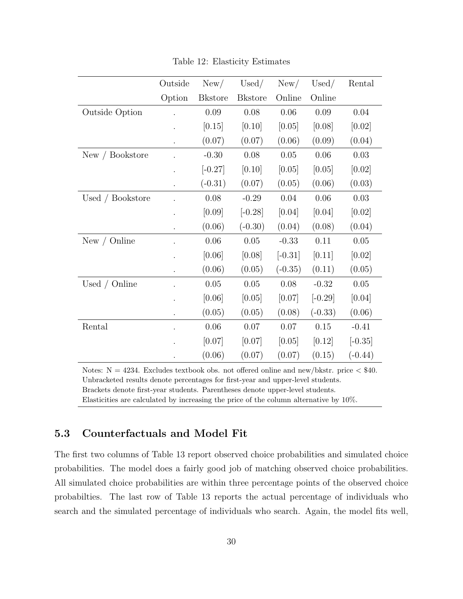<span id="page-29-0"></span>

|                  | Outside | New/           | Used/          | New/      | Used/     | Rental    |
|------------------|---------|----------------|----------------|-----------|-----------|-----------|
|                  | Option  | <b>Bkstore</b> | <b>Bkstore</b> | Online    | Online    |           |
| Outside Option   |         | 0.09           | 0.08           | 0.06      | 0.09      | 0.04      |
|                  |         | [0.15]         | [0.10]         | [0.05]    | [0.08]    | [0.02]    |
|                  |         | (0.07)         | (0.07)         | (0.06)    | (0.09)    | (0.04)    |
| New / Bookstore  |         | $-0.30$        | 0.08           | 0.05      | 0.06      | 0.03      |
|                  |         | $[-0.27]$      | [0.10]         | [0.05]    | [0.05]    | [0.02]    |
|                  |         | $(-0.31)$      | (0.07)         | (0.05)    | (0.06)    | (0.03)    |
| Used / Bookstore |         | $0.08\,$       | $-0.29$        | $0.04\,$  | 0.06      | 0.03      |
|                  |         | [0.09]         | $[-0.28]$      | [0.04]    | [0.04]    | [0.02]    |
|                  |         | (0.06)         | $(-0.30)$      | (0.04)    | (0.08)    | (0.04)    |
| New $/$ Online   |         | $0.06\,$       | $0.05\,$       | $-0.33$   | 0.11      | $0.05\,$  |
|                  |         | [0.06]         | [0.08]         | $[-0.31]$ | [0.11]    | [0.02]    |
|                  |         | (0.06)         | (0.05)         | $(-0.35)$ | (0.11)    | (0.05)    |
| Used / Online    |         | $0.05\,$       | 0.05           | 0.08      | $-0.32$   | $0.05\,$  |
|                  |         | [0.06]         | [0.05]         | [0.07]    | $[-0.29]$ | [0.04]    |
|                  |         | (0.05)         | (0.05)         | (0.08)    | $(-0.33)$ | (0.06)    |
| Rental           |         | 0.06           | 0.07           | $0.07\,$  | 0.15      | $-0.41$   |
|                  |         | [0.07]         | [0.07]         | [0.05]    | [0.12]    | $[-0.35]$ |
|                  |         | (0.06)         | (0.07)         | (0.07)    | (0.15)    | $(-0.44)$ |

Table 12: Elasticity Estimates

Notes:  $N = 4234$ . Excludes textbook obs. not offered online and new/bkstr. price  $\lt$  \$40. Unbracketed results denote percentages for first-year and upper-level students. Brackets denote first-year students. Parentheses denote upper-level students. Elasticities are calculated by increasing the price of the column alternative by 10%.

# 5.3 Counterfactuals and Model Fit

The first two columns of Table [13](#page-31-0) report observed choice probabilities and simulated choice probabilities. The model does a fairly good job of matching observed choice probabilities. All simulated choice probabilities are within three percentage points of the observed choice probabilties. The last row of Table [13](#page-31-0) reports the actual percentage of individuals who search and the simulated percentage of individuals who search. Again, the model fits well,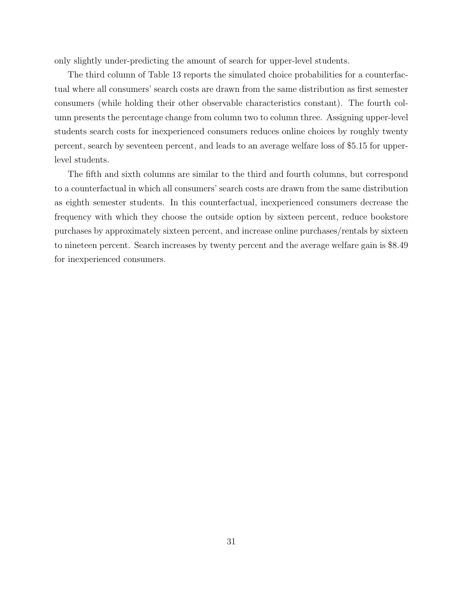only slightly under-predicting the amount of search for upper-level students.

The third column of Table [13](#page-31-0) reports the simulated choice probabilities for a counterfactual where all consumers' search costs are drawn from the same distribution as first semester consumers (while holding their other observable characteristics constant). The fourth column presents the percentage change from column two to column three. Assigning upper-level students search costs for inexperienced consumers reduces online choices by roughly twenty percent, search by seventeen percent, and leads to an average welfare loss of \$5.15 for upperlevel students.

The fifth and sixth columns are similar to the third and fourth columns, but correspond to a counterfactual in which all consumers' search costs are drawn from the same distribution as eighth semester students. In this counterfactual, inexperienced consumers decrease the frequency with which they choose the outside option by sixteen percent, reduce bookstore purchases by approximately sixteen percent, and increase online purchases/rentals by sixteen to nineteen percent. Search increases by twenty percent and the average welfare gain is \$8.49 for inexperienced consumers.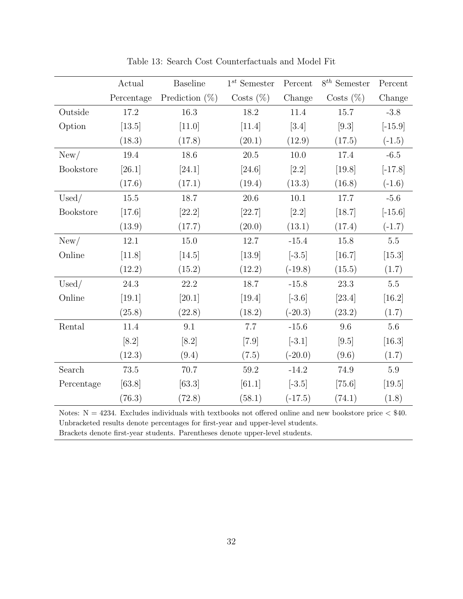<span id="page-31-0"></span>

|            | Actual     | <b>Baseline</b>   | $1^{st}$ Semester | Percent   | $8^{th}$ Semester | Percent   |
|------------|------------|-------------------|-------------------|-----------|-------------------|-----------|
|            | Percentage | Prediction $(\%)$ | Costs $(\%)$      | Change    | Costs $(\%)$      | Change    |
| Outside    | 17.2       | 16.3              | 18.2              | 11.4      | 15.7              | $-3.8$    |
| Option     | [13.5]     | [11.0]            | $[11.4]$          | [3.4]     | $[9.3]$           | $[-15.9]$ |
|            | (18.3)     | (17.8)            | (20.1)            | (12.9)    | (17.5)            | $(-1.5)$  |
| New/       | 19.4       | 18.6              | $20.5\,$          | $10.0$    | 17.4              | $-6.5$    |
| Bookstore  | $[26.1]$   | [24.1]            | [24.6]            | $[2.2]$   | [19.8]            | $[-17.8]$ |
|            | (17.6)     | (17.1)            | (19.4)            | (13.3)    | (16.8)            | $(-1.6)$  |
| Used/      | 15.5       | 18.7              | 20.6              | 10.1      | 17.7              | $-5.6$    |
| Bookstore  | $[17.6]$   | $[22.2]$          | $[22.7]$          | $[2.2]$   | $[18.7]$          | $[-15.6]$ |
|            | (13.9)     | (17.7)            | (20.0)            | (13.1)    | (17.4)            | $(-1.7)$  |
| New/       | $12.1\,$   | $15.0\,$          | 12.7              | $-15.4$   | 15.8              | $5.5\,$   |
| Online     | [11.8]     | [14.5]            | $[13.9]$          | $[-3.5]$  | [16.7]            | [15.3]    |
|            | (12.2)     | (15.2)            | (12.2)            | $(-19.8)$ | (15.5)            | (1.7)     |
| Used/      | $24.3\,$   | $22.2\,$          | 18.7              | $-15.8$   | 23.3              | $5.5\,$   |
| Online     | [19.1]     | $[20.1]$          | [19.4]            | $[-3.6]$  | [23.4]            | $[16.2]$  |
|            | (25.8)     | (22.8)            | (18.2)            | $(-20.3)$ | (23.2)            | (1.7)     |
| Rental     | 11.4       | 9.1               | 7.7               | $-15.6$   | 9.6               | $5.6\,$   |
|            | [8.2]      | [8.2]             | $[7.9]$           | $[-3.1]$  | [9.5]             | $[16.3]$  |
|            | (12.3)     | (9.4)             | (7.5)             | $(-20.0)$ | (9.6)             | (1.7)     |
| Search     | $73.5\,$   | 70.7              | $59.2\,$          | $-14.2$   | 74.9              | 5.9       |
| Percentage | [63.8]     | [63.3]            | [61.1]            | $[-3.5]$  | $[75.6]$          | [19.5]    |
|            | (76.3)     | (72.8)            | (58.1)            | $(-17.5)$ | (74.1)            | (1.8)     |

Table 13: Search Cost Counterfactuals and Model Fit

Notes:  $N = 4234$ . Excludes individuals with textbooks not offered online and new bookstore price  $\langle $40$ . Unbracketed results denote percentages for first-year and upper-level students.

Brackets denote first-year students. Parentheses denote upper-level students.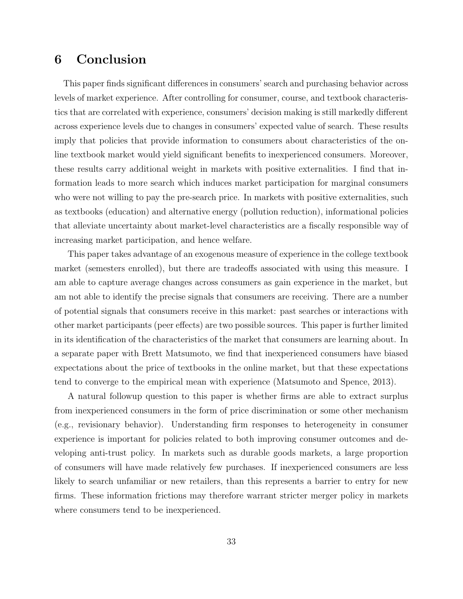# 6 Conclusion

This paper finds significant differences in consumers' search and purchasing behavior across levels of market experience. After controlling for consumer, course, and textbook characteristics that are correlated with experience, consumers' decision making is still markedly different across experience levels due to changes in consumers' expected value of search. These results imply that policies that provide information to consumers about characteristics of the online textbook market would yield significant benefits to inexperienced consumers. Moreover, these results carry additional weight in markets with positive externalities. I find that information leads to more search which induces market participation for marginal consumers who were not willing to pay the pre-search price. In markets with positive externalities, such as textbooks (education) and alternative energy (pollution reduction), informational policies that alleviate uncertainty about market-level characteristics are a fiscally responsible way of increasing market participation, and hence welfare.

This paper takes advantage of an exogenous measure of experience in the college textbook market (semesters enrolled), but there are tradeoffs associated with using this measure. I am able to capture average changes across consumers as gain experience in the market, but am not able to identify the precise signals that consumers are receiving. There are a number of potential signals that consumers receive in this market: past searches or interactions with other market participants (peer effects) are two possible sources. This paper is further limited in its identification of the characteristics of the market that consumers are learning about. In a separate paper with Brett Matsumoto, we find that inexperienced consumers have biased expectations about the price of textbooks in the online market, but that these expectations tend to converge to the empirical mean with experience [\(Matsumoto and Spence, 2013\)](#page-34-9).

A natural followup question to this paper is whether firms are able to extract surplus from inexperienced consumers in the form of price discrimination or some other mechanism (e.g., revisionary behavior). Understanding firm responses to heterogeneity in consumer experience is important for policies related to both improving consumer outcomes and developing anti-trust policy. In markets such as durable goods markets, a large proportion of consumers will have made relatively few purchases. If inexperienced consumers are less likely to search unfamiliar or new retailers, than this represents a barrier to entry for new firms. These information frictions may therefore warrant stricter merger policy in markets where consumers tend to be inexperienced.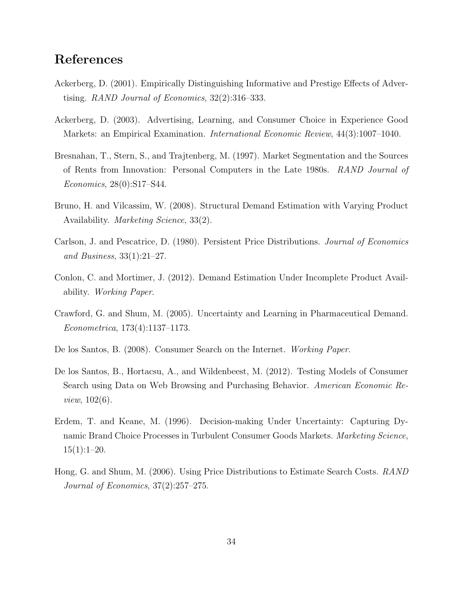# References

- <span id="page-33-2"></span>Ackerberg, D. (2001). Empirically Distinguishing Informative and Prestige Effects of Advertising. RAND Journal of Economics, 32(2):316–333.
- Ackerberg, D. (2003). Advertising, Learning, and Consumer Choice in Experience Good Markets: an Empirical Examination. International Economic Review, 44(3):1007–1040.
- <span id="page-33-6"></span>Bresnahan, T., Stern, S., and Trajtenberg, M. (1997). Market Segmentation and the Sources of Rents from Innovation: Personal Computers in the Late 1980s. RAND Journal of Economics, 28(0):S17–S44.
- <span id="page-33-3"></span>Bruno, H. and Vilcassim, W. (2008). Structural Demand Estimation with Varying Product Availability. Marketing Science, 33(2).
- Carlson, J. and Pescatrice, D. (1980). Persistent Price Distributions. Journal of Economics and Business, 33(1):21–27.
- <span id="page-33-4"></span>Conlon, C. and Mortimer, J. (2012). Demand Estimation Under Incomplete Product Availability. Working Paper.
- <span id="page-33-0"></span>Crawford, G. and Shum, M. (2005). Uncertainty and Learning in Pharmaceutical Demand. Econometrica, 173(4):1137–1173.
- De los Santos, B. (2008). Consumer Search on the Internet. Working Paper.
- <span id="page-33-5"></span>De los Santos, B., Hortacsu, A., and Wildenbeest, M. (2012). Testing Models of Consumer Search using Data on Web Browsing and Purchasing Behavior. American Economic Review, 102(6).
- Erdem, T. and Keane, M. (1996). Decision-making Under Uncertainty: Capturing Dynamic Brand Choice Processes in Turbulent Consumer Goods Markets. Marketing Science,  $15(1):1-20.$
- <span id="page-33-1"></span>Hong, G. and Shum, M. (2006). Using Price Distributions to Estimate Search Costs. RAND Journal of Economics, 37(2):257–275.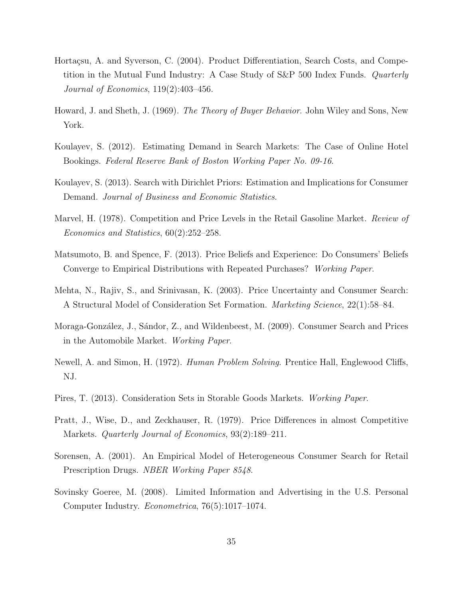- <span id="page-34-0"></span>Hortaçsu, A. and Syverson, C. (2004). Product Differentiation, Search Costs, and Competition in the Mutual Fund Industry: A Case Study of S&P 500 Index Funds. Quarterly Journal of Economics, 119(2):403–456.
- <span id="page-34-2"></span>Howard, J. and Sheth, J. (1969). The Theory of Buyer Behavior. John Wiley and Sons, New York.
- <span id="page-34-1"></span>Koulayev, S. (2012). Estimating Demand in Search Markets: The Case of Online Hotel Bookings. Federal Reserve Bank of Boston Working Paper No. 09-16.
- Koulayev, S. (2013). Search with Dirichlet Priors: Estimation and Implications for Consumer Demand. Journal of Business and Economic Statistics.
- <span id="page-34-7"></span>Marvel, H. (1978). Competition and Price Levels in the Retail Gasoline Market. Review of Economics and Statistics, 60(2):252–258.
- <span id="page-34-9"></span>Matsumoto, B. and Spence, F. (2013). Price Beliefs and Experience: Do Consumers' Beliefs Converge to Empirical Distributions with Repeated Purchases? Working Paper.
- Mehta, N., Rajiv, S., and Srinivasan, K. (2003). Price Uncertainty and Consumer Search: A Structural Model of Consideration Set Formation. Marketing Science, 22(1):58–84.
- <span id="page-34-6"></span>Moraga-González, J., Sándor, Z., and Wildenbeest, M. (2009). Consumer Search and Prices in the Automobile Market. Working Paper.
- <span id="page-34-3"></span>Newell, A. and Simon, H. (1972). Human Problem Solving. Prentice Hall, Englewood Cliffs, NJ.
- Pires, T. (2013). Consideration Sets in Storable Goods Markets. Working Paper.
- <span id="page-34-8"></span>Pratt, J., Wise, D., and Zeckhauser, R. (1979). Price Differences in almost Competitive Markets. Quarterly Journal of Economics, 93(2):189–211.
- <span id="page-34-5"></span>Sorensen, A. (2001). An Empirical Model of Heterogeneous Consumer Search for Retail Prescription Drugs. NBER Working Paper 8548.
- <span id="page-34-4"></span>Sovinsky Goeree, M. (2008). Limited Information and Advertising in the U.S. Personal Computer Industry. Econometrica, 76(5):1017–1074.